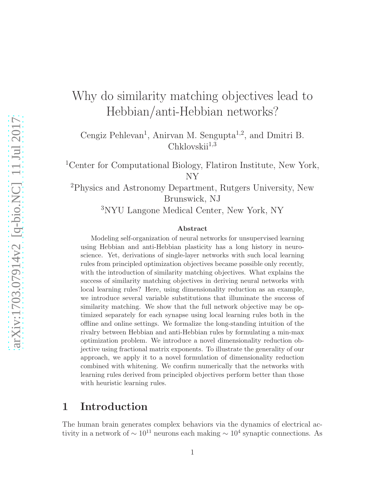# Why do similarity matching objectives lead to Hebbian/anti-Hebbian networks?

Cengiz Pehlevan<sup>1</sup>, Anirvan M. Sengupta<sup>1,2</sup>, and Dmitri B.  $Chklovskii<sup>1,3</sup>$ 

<sup>1</sup>Center for Computational Biology, Flatiron Institute, New York, NY

<sup>2</sup>Physics and Astronomy Department, Rutgers University, New Brunswick, NJ

<sup>3</sup>NYU Langone Medical Center, New York, NY

#### Abstract

Modeling self-organization of neural networks for unsupervised learning using Hebbian and anti-Hebbian plasticity has a long history in neuroscience. Yet, derivations of single-layer networks with such local learning rules from principled optimization objectives became possible only recently, with the introduction of similarity matching objectives. What explains the success of similarity matching objectives in deriving neural networks with local learning rules? Here, using dimensionality reduction as an example, we introduce several variable substitutions that illuminate the success of similarity matching. We show that the full network objective may be optimized separately for each synapse using local learning rules both in the offline and online settings. We formalize the long-standing intuition of the rivalry between Hebbian and anti-Hebbian rules by formulating a min-max optimization problem. We introduce a novel dimensionality reduction objective using fractional matrix exponents. To illustrate the generality of our approach, we apply it to a novel formulation of dimensionality reduction combined with whitening. We confirm numerically that the networks with learning rules derived from principled objectives perform better than those with heuristic learning rules.

## 1 Introduction

The human brain generates complex behaviors via the dynamics of electrical activity in a network of  $\sim 10^{11}$  neurons each making  $\sim 10^4$  synaptic connections. As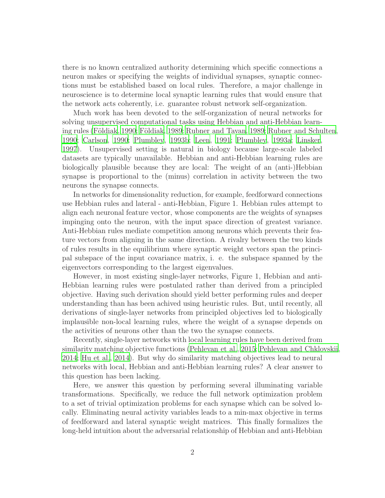there is no known centralized authority determining which specific connections a neuron makes or specifying the weights of individual synapses, synaptic connections must be established based on local rules. Therefore, a major challenge in neuroscience is to determine local synaptic learning rules that would ensure that the network acts coherently, i.e. guarantee robust network self-organization.

Much work has been devoted to the self-organization of neural networks for solving unsupervised computational tasks using Hebbian and anti-Hebbian learn-ing rules (Földiak, [1990](#page-44-0); Földiak, 1989; [Rubner and Tavan](#page-46-0), [1989;](#page-46-0) [Rubner and Schulten](#page-46-1), [1990;](#page-46-1) [Carlson, 1990;](#page-44-2) [Plumbley](#page-46-2), [1993b;](#page-46-2) [Leen](#page-45-0), [1991;](#page-45-0) [Plumbley](#page-46-3), [1993a](#page-46-3); [Linsker,](#page-45-1) [1997\)](#page-45-1). Unsupervised setting is natural in biology because large-scale labeled datasets are typically unavailable. Hebbian and anti-Hebbian learning rules are biologically plausible because they are local: The weight of an (anti-)Hebbian synapse is proportional to the (minus) correlation in activity between the two neurons the synapse connects.

In networks for dimensionality reduction, for example, feedforward connections use Hebbian rules and lateral - anti-Hebbian, Figure 1. Hebbian rules attempt to align each neuronal feature vector, whose components are the weights of synapses impinging onto the neuron, with the input space direction of greatest variance. Anti-Hebbian rules mediate competition among neurons which prevents their feature vectors from aligning in the same direction. A rivalry between the two kinds of rules results in the equilibrium where synaptic weight vectors span the principal subspace of the input covariance matrix, i. e. the subspace spanned by the eigenvectors corresponding to the largest eigenvalues.

However, in most existing single-layer networks, Figure 1, Hebbian and anti-Hebbian learning rules were postulated rather than derived from a principled objective. Having such derivation should yield better performing rules and deeper understanding than has been achived using heuristic rules. But, until recently, all derivations of single-layer networks from principled objectives led to biologically implausible non-local learning rules, where the weight of a synapse depends on the activities of neurons other than the two the synapse connects.

Recently, single-layer networks with local learning rules have been derived from similarity matching objective functions [\(Pehlevan et al.](#page-45-2), [2015;](#page-45-2) [Pehlevan and Chklovskii](#page-45-3), [2014;](#page-45-3) [Hu et al., 2014\)](#page-44-3). But why do similarity matching objectives lead to neural networks with local, Hebbian and anti-Hebbian learning rules? A clear answer to this question has been lacking.

Here, we answer this question by performing several illuminating variable transformations. Specifically, we reduce the full network optimization problem to a set of trivial optimization problems for each synapse which can be solved locally. Eliminating neural activity variables leads to a min-max objective in terms of feedforward and lateral synaptic weight matrices. This finally formalizes the long-held intuition about the adversarial relationship of Hebbian and anti-Hebbian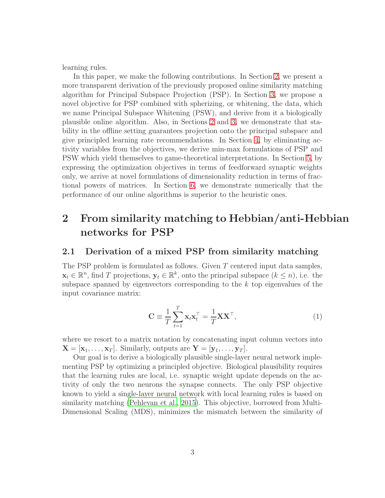learning rules.

In this paper, we make the following contributions. In Section [2,](#page-2-0) we present a more transparent derivation of the previously proposed online similarity matching algorithm for Principal Subspace Projection (PSP). In Section [3,](#page-10-0) we propose a novel objective for PSP combined with spherizing, or whitening, the data, which we name Principal Subspace Whitening (PSW), and derive from it a biologically plausible online algorithm. Also, in Sections [2](#page-2-0) and [3,](#page-10-0) we demonstrate that stability in the offline setting guarantees projection onto the principal subspace and give principled learning rate recommendations. In Section [4,](#page-14-0) by eliminating activity variables from the objectives, we derive min-max formulations of PSP and PSW which yield themselves to game-theoretical interpretations. In Section [5,](#page-15-0) by expressing the optimization objectives in terms of feedforward synaptic weights only, we arrive at novel formulations of dimensionality reduction in terms of fractional powers of matrices. In Section [6,](#page-16-0) we demonstrate numerically that the performance of our online algorithms is superior to the heuristic ones.

# <span id="page-2-0"></span>2 From similarity matching to Hebbian/anti-Hebbian networks for PSP

### 2.1 Derivation of a mixed PSP from similarity matching

The PSP problem is formulated as follows. Given  $T$  centered input data samples,  $\mathbf{x}_t \in \mathbb{R}^n$ , find T projections,  $\mathbf{y}_t \in \mathbb{R}^k$ , onto the principal subspace  $(k \leq n)$ , i.e. the subspace spanned by eigenvectors corresponding to the  $k$  top eigenvalues of the input covariance matrix:

<span id="page-2-1"></span>
$$
\mathbf{C} \equiv \frac{1}{T} \sum_{t=1}^{T} \mathbf{x}_t \mathbf{x}_t^{\top} = \frac{1}{T} \mathbf{X} \mathbf{X}^{\top},
$$
\n(1)

where we resort to a matrix notation by concatenating input column vectors into  $\mathbf{X} = [\mathbf{x}_1, \dots, \mathbf{x}_T]$ . Similarly, outputs are  $\mathbf{Y} = [\mathbf{y}_1, \dots, \mathbf{y}_T]$ .

Our goal is to derive a biologically plausible single-layer neural network implementing PSP by optimizing a principled objective. Biological plausibility requires that the learning rules are local, i.e. synaptic weight update depends on the activity of only the two neurons the synapse connects. The only PSP objective known to yield a single-layer neural network with local learning rules is based on similarity matching [\(Pehlevan et al.](#page-45-2), [2015\)](#page-45-2). This objective, borrowed from Multi-Dimensional Scaling (MDS), minimizes the mismatch between the similarity of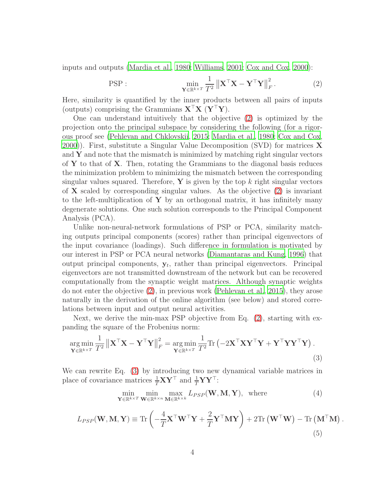inputs and outputs [\(Mardia et al., 1980;](#page-45-4) [Williams, 2001](#page-46-4); [Cox and Cox](#page-44-4), [2000](#page-44-4)):

<span id="page-3-0"></span>
$$
\text{PSP}: \qquad \qquad \min_{\mathbf{Y} \in \mathbb{R}^{k \times T}} \frac{1}{T^2} \left\| \mathbf{X}^\top \mathbf{X} - \mathbf{Y}^\top \mathbf{Y} \right\|_F^2. \tag{2}
$$

Here, similarity is quantified by the inner products between all pairs of inputs (outputs) comprising the Grammians  $X^{\top}X$  ( $Y^{\top}Y$ ).

One can understand intuitively that the objective [\(2\)](#page-3-0) is optimized by the projection onto the principal subspace by considering the following (for a rigorous proof see [\(Pehlevan and Chklovskii](#page-45-5), [2015;](#page-45-5) [Mardia et al., 1980;](#page-45-4) [Cox and Cox,](#page-44-4) [2000\)](#page-44-4)). First, substitute a Singular Value Decomposition (SVD) for matrices  $X$ and  $\bf{Y}$  and note that the mismatch is minimized by matching right singular vectors of  $Y$  to that of  $X$ . Then, rotating the Grammians to the diagonal basis reduces the minimization problem to minimizing the mismatch between the corresponding singular values squared. Therefore,  $\bf{Y}$  is given by the top k right singular vectors of  $X$  scaled by corresponding singular values. As the objective  $(2)$  is invariant to the left-multiplication of  $\bf{Y}$  by an orthogonal matrix, it has infinitely many degenerate solutions. One such solution corresponds to the Principal Component Analysis (PCA).

Unlike non-neural-network formulations of PSP or PCA, similarity matching outputs principal components (scores) rather than principal eigenvectors of the input covariance (loadings). Such difference in formulation is motivated by our interest in PSP or PCA neural networks [\(Diamantaras and Kung, 1996](#page-44-5)) that output principal components,  $y_t$ , rather than principal eigenvectors. Principal eigenvectors are not transmitted downstream of the network but can be recovered computationally from the synaptic weight matrices. Although synaptic weights do not enter the objective [\(2\)](#page-3-0), in previous work [\(Pehlevan et al.](#page-45-2), [2015](#page-45-2)), they arose naturally in the derivation of the online algorithm (see below) and stored correlations between input and output neural activities.

Next, we derive the min-max PSP objective from Eq. [\(2\)](#page-3-0), starting with expanding the square of the Frobenius norm:

$$
\underset{\mathbf{Y} \in \mathbb{R}^{k \times T}}{\arg \min} \frac{1}{T^2} \left\| \mathbf{X}^\top \mathbf{X} - \mathbf{Y}^\top \mathbf{Y} \right\|_F^2 = \underset{\mathbf{Y} \in \mathbb{R}^{k \times T}}{\arg \min} \frac{1}{T^2} \text{Tr} \left( -2 \mathbf{X}^\top \mathbf{X} \mathbf{Y}^\top \mathbf{Y} + \mathbf{Y}^\top \mathbf{Y} \mathbf{Y}^\top \mathbf{Y} \right). \tag{3}
$$

We can rewrite Eq. [\(3\)](#page-3-1) by introducing two new dynamical variable matrices in place of covariance matrices  $\frac{1}{T} \mathbf{X} \mathbf{Y}^{\top}$  and  $\frac{1}{T} \mathbf{Y} \mathbf{Y}^{\top}$ :

$$
\min_{\mathbf{Y} \in \mathbb{R}^{k \times T}} \min_{\mathbf{W} \in \mathbb{R}^{k \times n}} \max_{\mathbf{M} \in \mathbb{R}^{k \times k}} L_{PSP}(\mathbf{W}, \mathbf{M}, \mathbf{Y}), \text{ where } (4)
$$

<span id="page-3-2"></span><span id="page-3-1"></span>.

$$
L_{PSP}(\mathbf{W}, \mathbf{M}, \mathbf{Y}) \equiv \text{Tr}\left(-\frac{4}{T}\mathbf{X}^{\top}\mathbf{W}^{\top}\mathbf{Y} + \frac{2}{T}\mathbf{Y}^{\top}\mathbf{M}\mathbf{Y}\right) + 2\text{Tr}\left(\mathbf{W}^{\top}\mathbf{W}\right) - \text{Tr}\left(\mathbf{M}^{\top}\mathbf{M}\right)
$$
\n(5)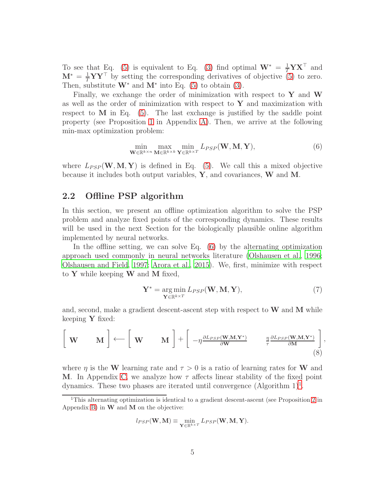To see that Eq. [\(5\)](#page-3-2) is equivalent to Eq. [\(3\)](#page-3-1) find optimal  $\mathbf{W}^* = \frac{1}{T} \mathbf{Y} \mathbf{X}^\top$  and  $\mathbf{M}^* = \frac{1}{T} \mathbf{Y} \mathbf{Y}^\top$  by setting the corresponding derivatives of objective [\(5\)](#page-3-2) to zero. Then, substitute  $W^*$  and  $M^*$  into Eq. [\(5\)](#page-3-2) to obtain [\(3\)](#page-3-1).

Finally, we exchange the order of minimization with respect to  $\mathbf Y$  and  $\mathbf W$ as well as the order of minimization with respect to  $\mathbf Y$  and maximization with respect to  $M$  in Eq. [\(5\)](#page-3-2). The last exchange is justified by the saddle point property (see Proposition [1](#page-23-0) in Appendix [A\)](#page-23-1). Then, we arrive at the following min-max optimization problem:

<span id="page-4-0"></span>
$$
\min_{\mathbf{W} \in \mathbb{R}^{k \times n}} \max_{\mathbf{M} \in \mathbb{R}^{k \times k}} \min_{\mathbf{Y} \in \mathbb{R}^{k \times T}} L_{PSP}(\mathbf{W}, \mathbf{M}, \mathbf{Y}),
$$
\n(6)

where  $L_{PSP}(\mathbf{W}, \mathbf{M}, \mathbf{Y})$  is defined in Eq. [\(5\)](#page-3-2). We call this a mixed objective because it includes both output variables,  $\bf{Y}$ , and covariances,  $\bf{W}$  and  $\bf{M}$ .

### 2.2 Offline PSP algorithm

In this section, we present an offline optimization algorithm to solve the PSP problem and analyze fixed points of the corresponding dynamics. These results will be used in the next Section for the biologically plausible online algorithm implemented by neural networks.

In the offline setting, we can solve Eq. [\(6\)](#page-4-0) by the alternating optimization approach used commonly in neural networks literature [\(Olshausen](#page-45-6) et al., [1996;](#page-45-6) [Olshausen and Field, 1997;](#page-45-7) [Arora et al., 2015\)](#page-44-6). We, first, minimize with respect to Y while keeping  $W$  and M fixed,

$$
\mathbf{Y}^* = \underset{\mathbf{Y} \in \mathbb{R}^{k \times T}}{\arg \min} L_{PSP}(\mathbf{W}, \mathbf{M}, \mathbf{Y}),\tag{7}
$$

and, second, make a gradient descent-ascent step with respect to  $W$  and  $M$  while keeping Y fixed:

$$
\begin{bmatrix} \mathbf{W} & \mathbf{M} \end{bmatrix} \longleftarrow \begin{bmatrix} \mathbf{W} & \mathbf{M} \end{bmatrix} + \begin{bmatrix} -\eta \frac{\partial L_{PSP}(\mathbf{W}, \mathbf{M}, \mathbf{Y}^*)}{\partial \mathbf{W}} & \frac{\eta}{\tau} \frac{\partial L_{PSP}(\mathbf{W}, \mathbf{M}, \mathbf{Y}^*)}{\partial \mathbf{M}} \end{bmatrix},
$$
\n(8)

where  $\eta$  is the W learning rate and  $\tau > 0$  is a ratio of learning rates for W and **M.** In Appendix [C,](#page-26-0) we analyze how  $\tau$  affects linear stability of the fixed point dynamics. These two phases are iterated until convergence  $(\text{Algorithm } 1)^1$  $(\text{Algorithm } 1)^1$  $(\text{Algorithm } 1)^1$ .

$$
l_{PSP}(\mathbf{W}, \mathbf{M}) \equiv \min_{\mathbf{Y} \in \mathbb{R}^{k \times T}} L_{PSP}(\mathbf{W}, \mathbf{M}, \mathbf{Y}).
$$

<span id="page-4-1"></span><sup>1</sup>This alternating optimization is identical to a gradient descent-ascent (see Proposition [2](#page-25-0) in Appendix [B\)](#page-25-1) in  $W$  and  $M$  on the objective: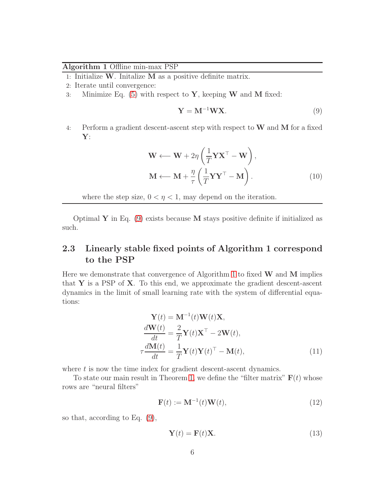#### <span id="page-5-1"></span>Algorithm 1 Offline min-max PSP

1: Initialize  $W$ . Initalize  $M$  as a positive definite matrix.

- 2: Iterate until convergence:
- 3: Minimize Eq.  $(5)$  with respect to Y, keeping W and M fixed:

<span id="page-5-0"></span>
$$
\mathbf{Y} = \mathbf{M}^{-1} \mathbf{W} \mathbf{X}.
$$
 (9)

4: Perform a gradient descent-ascent step with respect to  $W$  and  $M$  for a fixed Y:

$$
\mathbf{W} \leftarrow \mathbf{W} + 2\eta \left( \frac{1}{T} \mathbf{Y} \mathbf{X}^{\top} - \mathbf{W} \right),
$$

$$
\mathbf{M} \leftarrow \mathbf{M} + \frac{\eta}{\tau} \left( \frac{1}{T} \mathbf{Y} \mathbf{Y}^{\top} - \mathbf{M} \right).
$$
(10)

where the step size,  $0 < \eta < 1$ , may depend on the iteration.

Optimal Y in Eq.  $(9)$  exists because M stays positive definite if initialized as such.

## 2.3 Linearly stable fixed points of Algorithm 1 correspond to the PSP

Here we demonstrate that convergence of Algorithm [1](#page-5-1) to fixed  $W$  and  $M$  implies that Y is a PSP of X. To this end, we approximate the gradient descent-ascent dynamics in the limit of small learning rate with the system of differential equations:

$$
\mathbf{Y}(t) = \mathbf{M}^{-1}(t)\mathbf{W}(t)\mathbf{X},
$$
  
\n
$$
\frac{d\mathbf{W}(t)}{dt} = \frac{2}{T}\mathbf{Y}(t)\mathbf{X}^{\top} - 2\mathbf{W}(t),
$$
  
\n
$$
\tau \frac{d\mathbf{M}(t)}{dt} = \frac{1}{T}\mathbf{Y}(t)\mathbf{Y}(t)^{\top} - \mathbf{M}(t),
$$
\n(11)

where  $t$  is now the time index for gradient descent-ascent dynamics.

To state our main result in Theorem [1,](#page-6-0) we define the "filter matrix"  $F(t)$  whose rows are "neural filters"

<span id="page-5-2"></span>
$$
\mathbf{F}(t) := \mathbf{M}^{-1}(t)\mathbf{W}(t),\tag{12}
$$

so that, according to Eq. [\(9\)](#page-5-0),

<span id="page-5-3"></span>
$$
\mathbf{Y}(t) = \mathbf{F}(t)\mathbf{X}.\tag{13}
$$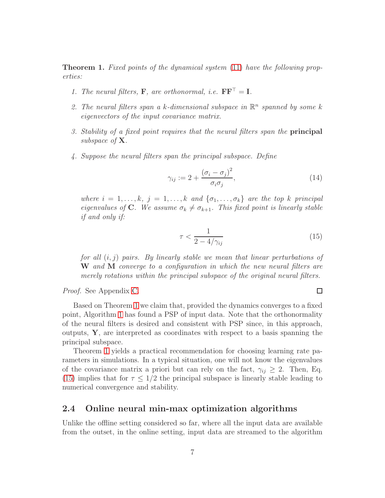<span id="page-6-0"></span>Theorem 1. Fixed points of the dynamical system [\(11\)](#page-5-2) have the following properties:

- 1. The neural filters, **F**, are orthonormal, i.e.  $\mathbf{F}\mathbf{F}^{\top} = \mathbf{I}$ .
- 2. The neural filters span a k-dimensional subspace in  $\mathbb{R}^n$  spanned by some k eigenvectors of the input covariance matrix.
- 3. Stability of a fixed point requires that the neural filters span the principal subspace of **X**.
- 4. Suppose the neural filters span the principal subspace. Define

$$
\gamma_{ij} := 2 + \frac{(\sigma_i - \sigma_j)^2}{\sigma_i \sigma_j},\tag{14}
$$

where  $i = 1, \ldots, k, j = 1, \ldots, k$  and  $\{\sigma_1, \ldots, \sigma_k\}$  are the top k principal eigenvalues of C. We assume  $\sigma_k \neq \sigma_{k+1}$ . This fixed point is linearly stable if and only if:

$$
\tau < \frac{1}{2 - 4/\gamma_{ij}}\tag{15}
$$

for all  $(i, j)$  pairs. By linearly stable we mean that linear perturbations of W and M converge to a configuration in which the new neural filters are merely rotations within the principal subspace of the original neural filters.

Proof. See Appendix [C.](#page-26-0)

<span id="page-6-1"></span> $\Box$ 

Based on Theorem [1](#page-6-0) we claim that, provided the dynamics converges to a fixed point, Algorithm [1](#page-5-1) has found a PSP of input data. Note that the orthonormality of the neural filters is desired and consistent with PSP since, in this approach, outputs, Y, are interpreted as coordinates with respect to a basis spanning the principal subspace.

Theorem [1](#page-6-0) yields a practical recommendation for choosing learning rate parameters in simulations. In a typical situation, one will not know the eigenvalues of the covariance matrix a priori but can rely on the fact,  $\gamma_{ij} \geq 2$ . Then, Eq. [\(15\)](#page-6-1) implies that for  $\tau \leq 1/2$  the principal subspace is linearly stable leading to numerical convergence and stability.

### 2.4 Online neural min-max optimization algorithms

Unlike the offline setting considered so far, where all the input data are available from the outset, in the online setting, input data are streamed to the algorithm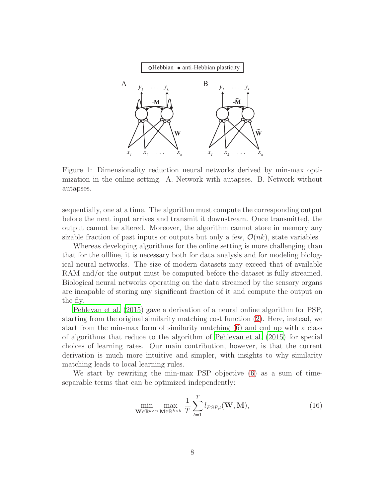

<span id="page-7-1"></span>Figure 1: Dimensionality reduction neural networks derived by min-max optimization in the online setting. A. Network with autapses. B. Network without autapses.

sequentially, one at a time. The algorithm must compute the corresponding output before the next input arrives and transmit it downstream. Once transmitted, the output cannot be altered. Moreover, the algorithm cannot store in memory any sizable fraction of past inputs or outputs but only a few,  $\mathcal{O}(nk)$ , state variables.

Whereas developing algorithms for the online setting is more challenging than that for the offline, it is necessary both for data analysis and for modeling biological neural networks. The size of modern datasets may exceed that of available RAM and/or the output must be computed before the dataset is fully streamed. Biological neural networks operating on the data streamed by the sensory organs are incapable of storing any significant fraction of it and compute the output on the fly.

[Pehlevan et al. \(2015](#page-45-2)) gave a derivation of a neural online algorithm for PSP, starting from the original similarity matching cost function [\(2\)](#page-3-0). Here, instead, we start from the min-max form of similarity matching [\(6\)](#page-4-0) and end up with a class of algorithms that reduce to the algorithm of [Pehlevan et al. \(2015\)](#page-45-2) for special choices of learning rates. Our main contribution, however, is that the current derivation is much more intuitive and simpler, with insights to why similarity matching leads to local learning rules.

We start by rewriting the min-max PSP objective [\(6\)](#page-4-0) as a sum of timeseparable terms that can be optimized independently:

<span id="page-7-0"></span>
$$
\min_{\mathbf{W}\in\mathbb{R}^{k\times n}}\max_{\mathbf{M}\in\mathbb{R}^{k\times k}}\frac{1}{T}\sum_{t=1}^{T}l_{PSP,t}(\mathbf{W},\mathbf{M}),
$$
\n(16)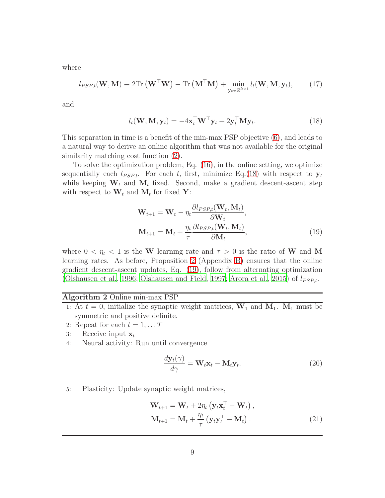where

$$
l_{PSP,t}(\mathbf{W}, \mathbf{M}) \equiv 2 \text{Tr} \left( \mathbf{W}^{\top} \mathbf{W} \right) - \text{Tr} \left( \mathbf{M}^{\top} \mathbf{M} \right) + \min_{\mathbf{y}_t \in \mathbb{R}^{k \times 1}} l_t(\mathbf{W}, \mathbf{M}, \mathbf{y}_t), \tag{17}
$$

and

<span id="page-8-0"></span>
$$
l_t(\mathbf{W}, \mathbf{M}, \mathbf{y}_t) = -4\mathbf{x}_t^{\top} \mathbf{W}^{\top} \mathbf{y}_t + 2\mathbf{y}_t^{\top} \mathbf{M} \mathbf{y}_t.
$$
 (18)

This separation in time is a benefit of the min-max PSP objective [\(6\)](#page-4-0), and leads to a natural way to derive an online algorithm that was not available for the original similarity matching cost function [\(2\)](#page-3-0).

To solve the optimization problem, Eq. [\(16\)](#page-7-0), in the online setting, we optimize sequentially each  $l_{PSP,t}$ . For each t, first, minimize Eq.[\(18\)](#page-8-0) with respect to  $y_t$ while keeping  $W_t$  and  $M_t$  fixed. Second, make a gradient descent-ascent step with respect to  $\mathbf{W}_t$  and  $\mathbf{M}_t$  for fixed Y:

<span id="page-8-1"></span>
$$
\mathbf{W}_{t+1} = \mathbf{W}_t - \eta_t \frac{\partial l_{PSP,t}(\mathbf{W}_t, \mathbf{M}_t)}{\partial \mathbf{W}_t},
$$
  

$$
\mathbf{M}_{t+1} = \mathbf{M}_t + \frac{\eta_t}{\tau} \frac{\partial l_{PSP,t}(\mathbf{W}_t, \mathbf{M}_t)}{\partial \mathbf{M}_t},
$$
 (19)

where  $0 < \eta_t < 1$  is the W learning rate and  $\tau > 0$  is the ratio of W and M learning rates. As before, Proposition [2](#page-25-0) (Appendix [B\)](#page-25-1) ensures that the online gradient descent-ascent updates, Eq. [\(19\)](#page-8-1), follow from alternating optimization [\(Olshausen et al., 1996](#page-45-6); [Olshausen and Field, 1997;](#page-45-7) [Arora et al.](#page-44-6), [2015\)](#page-44-6) of  $l_{PSP,t}$ .

#### <span id="page-8-2"></span>Algorithm 2 Online min-max PSP

- 1: At  $t = 0$ , initialize the synaptic weight matrices,  $W_1$  and  $M_1$ .  $M_1$  must be symmetric and positive definite.
- 2: Repeat for each  $t = 1, \ldots T$
- 3: Receive input  $\mathbf{x}_t$
- 4: Neural activity: Run until convergence

<span id="page-8-4"></span><span id="page-8-3"></span>
$$
\frac{d\mathbf{y}_t(\gamma)}{d\gamma} = \mathbf{W}_t \mathbf{x}_t - \mathbf{M}_t \mathbf{y}_t.
$$
\n(20)

5: Plasticity: Update synaptic weight matrices,

$$
\mathbf{W}_{t+1} = \mathbf{W}_t + 2\eta_t \left( \mathbf{y}_t \mathbf{x}_t^\top - \mathbf{W}_t \right),
$$
  

$$
\mathbf{M}_{t+1} = \mathbf{M}_t + \frac{\eta_t}{\tau} \left( \mathbf{y}_t \mathbf{y}_t^\top - \mathbf{M}_t \right).
$$
 (21)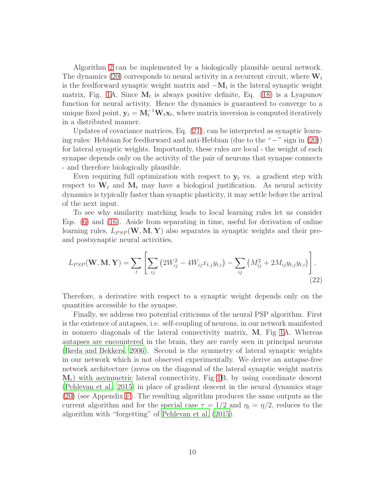Algorithm [2](#page-8-2) can be implemented by a biologically plausible neural network. The dynamics [\(20\)](#page-8-3) corresponds to neural activity in a recurrent circuit, where  $W_t$ is the feedforward synaptic weight matrix and  $-\mathbf{M}_t$  is the lateral synaptic weight matrix, Fig. [1A](#page-7-1). Since  $M_t$  is always positive definite, Eq. [\(18\)](#page-8-0) is a Lyapunov function for neural activity. Hence the dynamics is guaranteed to converge to a unique fixed point,  $y_t = M_t^{-1} W_t x_t$ , where matrix inversion is computed iteratively in a distributed manner.

Updates of covariance matrices, Eq. [\(21\)](#page-8-4), can be interpreted as synaptic learning rules: Hebbian for feedforward and anti-Hebbian (due to the "−" sign in [\(20\)](#page-8-3)) for lateral synaptic weights. Importantly, these rules are local - the weight of each synapse depends only on the activity of the pair of neurons that synapse connects - and therefore biologically plausible.

Even requiring full optimization with respect to  $y_t$  vs. a gradient step with respect to  $\mathbf{W}_t$  and  $\mathbf{M}_t$  may have a biological justification. As neural activity dynamics is typically faster than synaptic plasticity, it may settle before the arrival of the next input.

To see why similarity matching leads to local learning rules let us consider Eqs. [\(6\)](#page-4-0) and [\(16\)](#page-7-0). Aside from separating in time, useful for derivation of online learning rules,  $L_{PSP}(\mathbf{W}, \mathbf{M}, \mathbf{Y})$  also separates in synaptic weights and their preand postsynaptic neural activities,

$$
L_{PSP}(\mathbf{W}, \mathbf{M}, \mathbf{Y}) = \sum_{t} \left[ \sum_{ij} \left( 2W_{ij}^2 - 4W_{ij}x_{t,j}y_{t,i} \right) - \sum_{ij} \left( M_{ij}^2 + 2M_{ij}y_{t,j}y_{t,i} \right) \right].
$$
\n(22)

Therefore, a derivative with respect to a synaptic weight depends only on the quantities accessible to the synapse.

Finally, we address two potential criticisms of the neural PSP algorithm. First is the existence of autapses, i.e. self-coupling of neurons, in our network manifested in nonzero diagonals of the lateral connectivity matrix, M, Fig [1A](#page-7-1). Whereas autapses are encountered in the brain, they are rarely seen in principal neurons [\(Ikeda and Bekkers](#page-44-7), [2006](#page-44-7)). Second is the symmetry of lateral synaptic weights in our network which is not observed experimentally. We derive an autapse-free network architecture (zeros on the diagonal of the lateral synaptic weight matrix  $M_t$ ) with asymmetric lateral connectivity, Fig [1B](#page-7-1), by using coordinate descent [\(Pehlevan et al.](#page-45-2), [2015](#page-45-2)) in place of gradient descent in the neural dynamics stage [\(20\)](#page-8-3) (see Appendix [F\)](#page-40-0). The resulting algorithm produces the same outputs as the current algorithm and for the special case  $\tau = 1/2$  and  $\eta_t = \eta/2$ , reduces to the algorithm with "forgetting" of [Pehlevan et al. \(2015](#page-45-2)).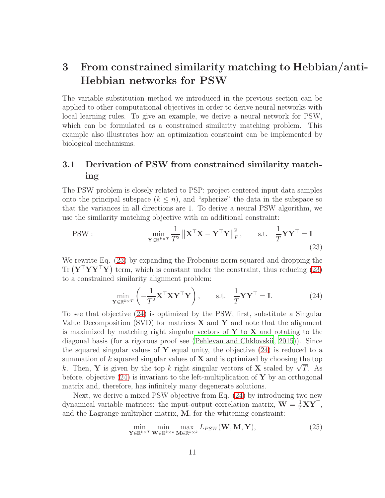# <span id="page-10-0"></span>3 From constrained similarity matching to Hebbian/anti-Hebbian networks for PSW

The variable substitution method we introduced in the previous section can be applied to other computational objectives in order to derive neural networks with local learning rules. To give an example, we derive a neural network for PSW, which can be formulated as a constrained similarity matching problem. This example also illustrates how an optimization constraint can be implemented by biological mechanisms.

## 3.1 Derivation of PSW from constrained similarity matching

The PSW problem is closely related to PSP: project centered input data samples onto the principal subspace  $(k \leq n)$ , and "spherize" the data in the subspace so that the variances in all directions are 1. To derive a neural PSW algorithm, we use the similarity matching objective with an additional constraint:

PSW: 
$$
\min_{\mathbf{Y} \in \mathbb{R}^{k \times T}} \frac{1}{T^2} ||\mathbf{X}^\top \mathbf{X} - \mathbf{Y}^\top \mathbf{Y}||_F^2, \quad \text{s.t.} \quad \frac{1}{T} \mathbf{Y} \mathbf{Y}^\top = \mathbf{I}
$$
(23)

We rewrite Eq. [\(23\)](#page-10-1) by expanding the Frobenius norm squared and dropping the  $\text{Tr} (\mathbf{Y}^\top \mathbf{Y} \mathbf{Y}^\top \mathbf{Y})$  term, which is constant under the constraint, thus reducing [\(23\)](#page-10-1) to a constrained similarity alignment problem:

<span id="page-10-2"></span><span id="page-10-1"></span>
$$
\min_{\mathbf{Y} \in \mathbb{R}^{k \times T}} \left( -\frac{1}{T^2} \mathbf{X}^\top \mathbf{X} \mathbf{Y}^\top \mathbf{Y} \right), \qquad \text{s.t.} \quad \frac{1}{T} \mathbf{Y} \mathbf{Y}^\top = \mathbf{I}. \tag{24}
$$

To see that objective [\(24\)](#page-10-2) is optimized by the PSW, first, substitute a Singular Value Decomposition (SVD) for matrices  $X$  and  $Y$  and note that the alignment is maximized by matching right singular vectors of  $Y$  to  $X$  and rotating to the diagonal basis (for a rigorous proof see [\(Pehlevan and Chklovskii](#page-45-5), [2015\)](#page-45-5)). Since the squared singular values of Y equal unity, the objective  $(24)$  is reduced to a summation of  $k$  squared singular values of  $X$  and is optimized by choosing the top k. Then, Y is given by the top k right singular vectors of X scaled by  $\sqrt{T}$ . As before, objective  $(24)$  is invariant to the left-multiplication of Y by an orthogonal matrix and, therefore, has infinitely many degenerate solutions.

Next, we derive a mixed PSW objective from Eq. [\(24\)](#page-10-2) by introducing two new dynamical variable matrices: the input-output correlation matrix,  $\mathbf{W} = \frac{1}{T} \mathbf{X} \mathbf{Y}^{\top}$ , and the Lagrange multiplier matrix, M, for the whitening constraint:

$$
\min_{\mathbf{Y} \in \mathbb{R}^{k \times T}} \min_{\mathbf{W} \in \mathbb{R}^{k \times n}} \max_{\mathbf{M} \in \mathbb{R}^{k \times k}} L_{PSW}(\mathbf{W}, \mathbf{M}, \mathbf{Y}),
$$
\n(25)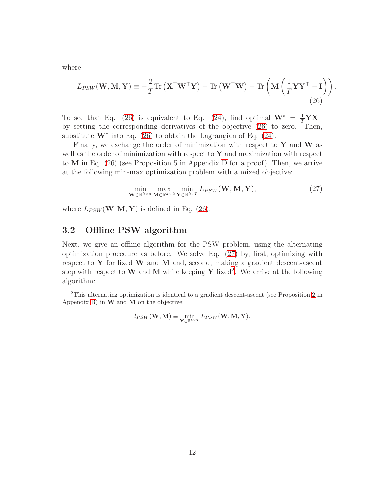where

$$
L_{PSW}(\mathbf{W}, \mathbf{M}, \mathbf{Y}) \equiv -\frac{2}{T} \text{Tr} \left( \mathbf{X}^\top \mathbf{W}^\top \mathbf{Y} \right) + \text{Tr} \left( \mathbf{W}^\top \mathbf{W} \right) + \text{Tr} \left( \mathbf{M} \left( \frac{1}{T} \mathbf{Y} \mathbf{Y}^\top - \mathbf{I} \right) \right).
$$
\n(26)

To see that Eq. [\(26\)](#page-11-0) is equivalent to Eq. [\(24\)](#page-10-2), find optimal  $W^* = \frac{1}{T} Y X^{\top}$ by setting the corresponding derivatives of the objective [\(26\)](#page-11-0) to zero. Then, substitute  $W^*$  into Eq. [\(26\)](#page-11-0) to obtain the Lagrangian of Eq. [\(24\)](#page-10-2).

Finally, we exchange the order of minimization with respect to  $Y$  and  $W$  as well as the order of minimization with respect to  $\mathbf Y$  and maximization with respect to M in Eq. [\(26\)](#page-11-0) (see Proposition [5](#page-35-0) in Appendix [D](#page-32-0) for a proof). Then, we arrive at the following min-max optimization problem with a mixed objective:

<span id="page-11-1"></span><span id="page-11-0"></span>
$$
\min_{\mathbf{W} \in \mathbb{R}^{k \times n}} \max_{\mathbf{M} \in \mathbb{R}^{k \times k}} \min_{\mathbf{Y} \in \mathbb{R}^{k \times T}} L_{PSW}(\mathbf{W}, \mathbf{M}, \mathbf{Y}),
$$
\n(27)

where  $L_{PSW}(\mathbf{W}, \mathbf{M}, \mathbf{Y})$  is defined in Eq. [\(26\)](#page-11-0).

### 3.2 Offline PSW algorithm

Next, we give an offline algorithm for the PSW problem, using the alternating optimization procedure as before. We solve Eq. [\(27\)](#page-11-1) by, first, optimizing with respect to  $Y$  for fixed  $W$  and  $M$  and, second, making a gradient descent-ascent step with respect to W and M while keeping Y fixed<sup>[2](#page-11-2)</sup>. We arrive at the following algorithm:

$$
l_{PSW}(\mathbf{W}, \mathbf{M}) \equiv \min_{\mathbf{Y} \in \mathbb{R}^{k \times T}} L_{PSW}(\mathbf{W}, \mathbf{M}, \mathbf{Y}).
$$

<span id="page-11-2"></span><sup>2</sup>This alternating optimization is identical to a gradient descent-ascent (see Proposition [2](#page-25-0) in Appendix [B\)](#page-25-1) in  $W$  and  $M$  on the objective: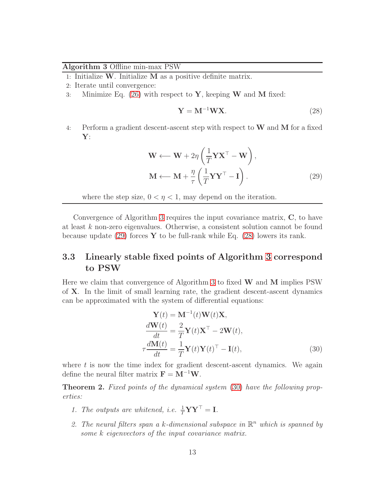#### <span id="page-12-0"></span>Algorithm 3 Offline min-max PSW

1: Initialize  $W$ . Initialize  $M$  as a positive definite matrix.

- 2: Iterate until convergence:
- 3: Minimize Eq. [\(26\)](#page-11-0) with respect to **Y**, keeping **W** and **M** fixed:

<span id="page-12-2"></span><span id="page-12-1"></span>
$$
\mathbf{Y} = \mathbf{M}^{-1} \mathbf{W} \mathbf{X}.
$$
 (28)

4: Perform a gradient descent-ascent step with respect to  $W$  and  $M$  for a fixed  $Y:$ 

$$
\mathbf{W} \leftarrow \mathbf{W} + 2\eta \left( \frac{1}{T} \mathbf{Y} \mathbf{X}^{\top} - \mathbf{W} \right),
$$

$$
\mathbf{M} \leftarrow \mathbf{M} + \frac{\eta}{\tau} \left( \frac{1}{T} \mathbf{Y} \mathbf{Y}^{\top} - \mathbf{I} \right).
$$
(29)

where the step size,  $0 < \eta < 1$ , may depend on the iteration.

Convergence of Algorithm [3](#page-12-0) requires the input covariance matrix, C, to have at least k non-zero eigenvalues. Otherwise, a consistent solution cannot be found because update [\(29\)](#page-12-1) forces **Y** to be full-rank while Eq. [\(28\)](#page-12-2) lowers its rank.

## 3.3 Linearly stable fixed points of Algorithm [3](#page-12-0) correspond to PSW

Here we claim that convergence of Algorithm [3](#page-12-0) to fixed  $W$  and  $M$  implies PSW of X. In the limit of small learning rate, the gradient descent-ascent dynamics can be approximated with the system of differential equations:

<span id="page-12-3"></span>
$$
\mathbf{Y}(t) = \mathbf{M}^{-1}(t)\mathbf{W}(t)\mathbf{X},
$$
  
\n
$$
\frac{d\mathbf{W}(t)}{dt} = \frac{2}{T}\mathbf{Y}(t)\mathbf{X}^{\top} - 2\mathbf{W}(t),
$$
  
\n
$$
\tau \frac{d\mathbf{M}(t)}{dt} = \frac{1}{T}\mathbf{Y}(t)\mathbf{Y}(t)^{\top} - \mathbf{I}(t),
$$
\n(30)

where  $t$  is now the time index for gradient descent-ascent dynamics. We again define the neural filter matrix  $\mathbf{F} = \mathbf{M}^{-1}\mathbf{W}$ .

<span id="page-12-4"></span>Theorem 2. Fixed points of the dynamical system [\(30\)](#page-12-3) have the following properties:

- 1. The outputs are whitened, i.e.  $\frac{1}{T} \mathbf{Y} \mathbf{Y}^{\top} = \mathbf{I}$ .
- 2. The neural filters span a k-dimensional subspace in  $\mathbb{R}^n$  which is spanned by some k eigenvectors of the input covariance matrix.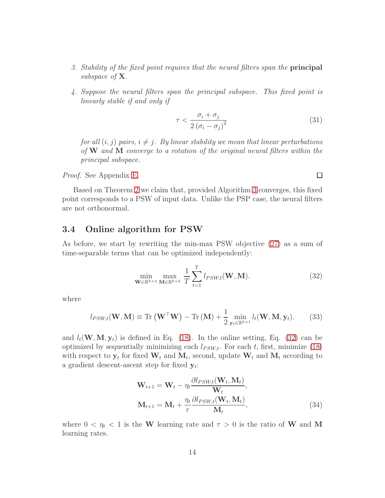- 3. Stability of the fixed point requires that the neural filters span the principal subspace of **X**.
- 4. Suppose the neural filters span the principal subspace. This fixed point is linearly stable if and only if

$$
\tau < \frac{\sigma_i + \sigma_j}{2\left(\sigma_i - \sigma_j\right)^2} \tag{31}
$$

for all  $(i, j)$  pairs,  $i \neq j$ . By linear stability we mean that linear perturbations of W and M converge to a rotation of the original neural filters within the principal subspace.

Proof. See Appendix [E.](#page-36-0)

Based on Theorem [2](#page-12-4) we claim that, provided Algorithm [3](#page-12-0) converges, this fixed point corresponds to a PSW of input data. Unlike the PSP case, the neural filters are not orthonormal.

### 3.4 Online algorithm for PSW

As before, we start by rewriting the min-max PSW objective [\(27\)](#page-11-1) as a sum of time-separable terms that can be optimized independently:

$$
\min_{\mathbf{W} \in \mathbb{R}^{k \times n}} \max_{\mathbf{M} \in \mathbb{R}^{k \times k}} \frac{1}{T} \sum_{t=1}^{T} l_{PSW,t}(\mathbf{W}, \mathbf{M}).
$$
\n(32)

where

$$
l_{PSW,t}(\mathbf{W}, \mathbf{M}) \equiv \text{Tr}\left(\mathbf{W}^{\top}\mathbf{W}\right) - \text{Tr}\left(\mathbf{M}\right) + \frac{1}{2} \min_{\mathbf{y}_t \in \mathbb{R}^{k \times 1}} l_t(\mathbf{W}, \mathbf{M}, \mathbf{y}_t). \tag{33}
$$

and  $l_t(\mathbf{W}, \mathbf{M}, \mathbf{y}_t)$  is defined in Eq. [\(18\)](#page-8-0). In the online setting, Eq. [\(32\)](#page-13-0) can be optimized by sequentially minimizing each  $l_{PSW,t}$ . For each t, first, minimize [\(18\)](#page-8-0) with respect to  $y_t$  for fixed  $W_t$  and  $M_t$ , second, update  $W_t$  and  $M_t$  according to a gradient descent-ascent step for fixed  $y_t$ :

<span id="page-13-1"></span>
$$
\mathbf{W}_{t+1} = \mathbf{W}_t - \eta_t \frac{\partial l_{PSW,t}(\mathbf{W}_t, \mathbf{M}_t)}{\mathbf{W}_t},
$$
  

$$
\mathbf{M}_{t+1} = \mathbf{M}_t + \frac{\eta_t}{\tau} \frac{\partial l_{PSW,t}(\mathbf{W}_t, \mathbf{M}_t)}{\mathbf{M}_t},
$$
 (34)

where  $0 < \eta_t < 1$  is the W learning rate and  $\tau > 0$  is the ratio of W and M learning rates.

<span id="page-13-0"></span> $\Box$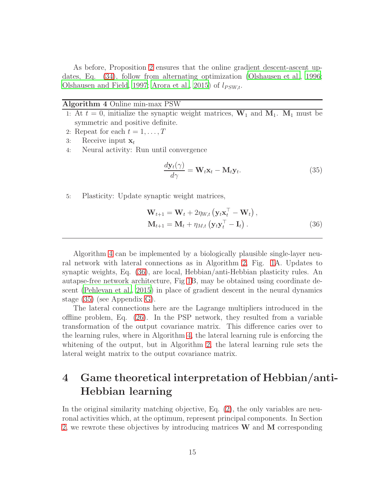As before, Proposition [2](#page-25-0) ensures that the online gradient descent-ascent updates, Eq. [\(34\)](#page-13-1), follow from alternating optimization [\(Olshausen et](#page-45-6) al., [1996;](#page-45-6) [Olshausen and Field, 1997](#page-45-7); [Arora et al., 2015\)](#page-44-6) of  $l_{PSW,t}$ .

#### <span id="page-14-1"></span>Algorithm 4 Online min-max PSW

- 1: At  $t = 0$ , initialize the synaptic weight matrices,  $W_1$  and  $M_1$ .  $M_1$  must be symmetric and positive definite.
- 2: Repeat for each  $t = 1, \ldots, T$
- 3: Receive input  $\mathbf{x}_t$
- 4: Neural activity: Run until convergence

<span id="page-14-3"></span><span id="page-14-2"></span>
$$
\frac{d\mathbf{y}_t(\gamma)}{d\gamma} = \mathbf{W}_t \mathbf{x}_t - \mathbf{M}_t \mathbf{y}_t.
$$
 (35)

5: Plasticity: Update synaptic weight matrices,

$$
\mathbf{W}_{t+1} = \mathbf{W}_t + 2\eta_{W,t} \left( \mathbf{y}_t \mathbf{x}_t^\top - \mathbf{W}_t \right),
$$
  

$$
\mathbf{M}_{t+1} = \mathbf{M}_t + \eta_{M,t} \left( \mathbf{y}_t \mathbf{y}_t^\top - \mathbf{I}_t \right).
$$
 (36)

Algorithm [4](#page-14-1) can be implemented by a biologically plausible single-layer neural network with lateral connections as in Algorithm [2,](#page-8-2) Fig. [1A](#page-7-1). Updates to synaptic weights, Eq. [\(36\)](#page-14-2), are local, Hebbian/anti-Hebbian plasticity rules. An autapse-free network architecture, Fig [1B](#page-7-1), may be obtained using coordinate descent [\(Pehlevan et al.](#page-45-2), [2015](#page-45-2)) in place of gradient descent in the neural dynamics stage [\(35\)](#page-14-3) (see Appendix [G\)](#page-42-0).

The lateral connections here are the Lagrange multipliers introduced in the offline problem, Eq. [\(26\)](#page-11-0). In the PSP network, they resulted from a variable transformation of the output covariance matrix. This difference caries over to the learning rules, where in Algorithm [4,](#page-14-1) the lateral learning rule is enforcing the whitening of the output, but in Algorithm [2,](#page-8-2) the lateral learning rule sets the lateral weight matrix to the output covariance matrix.

# <span id="page-14-0"></span>4 Game theoretical interpretation of Hebbian/anti-Hebbian learning

In the original similarity matching objective, Eq. [\(2\)](#page-3-0), the only variables are neuronal activities which, at the optimum, represent principal components. In Section [2,](#page-2-0) we rewrote these objectives by introducing matrices W and M corresponding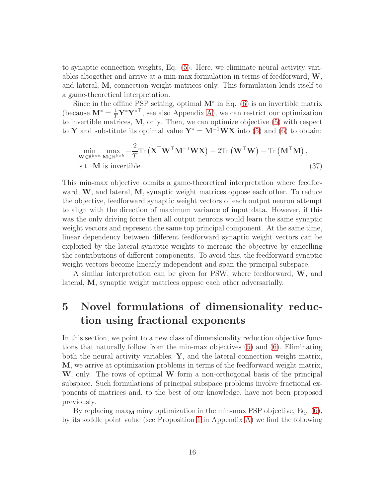to synaptic connection weights, Eq. [\(5\)](#page-3-2). Here, we eliminate neural activity variables altogether and arrive at a min-max formulation in terms of feedforward, W, and lateral, M, connection weight matrices only. This formulation lends itself to a game-theoretical interpretation.

Since in the offline PSP setting, optimal  $M^*$  in Eq. [\(6\)](#page-4-0) is an invertible matrix (because  $\mathbf{M}^* = \frac{1}{T} \mathbf{Y}^* \mathbf{Y}^{*T}$ , see also Appendix [A\)](#page-23-1), we can restrict our optimization to invertible matrices, M, only. Then, we can optimize objective [\(5\)](#page-3-2) with respect to Y and substitute its optimal value  $Y^* = M^{-1}WX$  into [\(5\)](#page-3-2) and [\(6\)](#page-4-0) to obtain:

$$
\min_{\mathbf{W} \in \mathbb{R}^{k \times n}} \max_{\mathbf{M} \in \mathbb{R}^{k \times k}} -\frac{2}{T} \text{Tr} \left( \mathbf{X}^{\top} \mathbf{W}^{\top} \mathbf{M}^{-1} \mathbf{W} \mathbf{X} \right) + 2 \text{Tr} \left( \mathbf{W}^{\top} \mathbf{W} \right) - \text{Tr} \left( \mathbf{M}^{\top} \mathbf{M} \right),
$$
  
s.t. **M** is invertible. (37)

This min-max objective admits a game-theoretical interpretation where feedforward, W, and lateral, M, synaptic weight matrices oppose each other. To reduce the objective, feedforward synaptic weight vectors of each output neuron attempt to align with the direction of maximum variance of input data. However, if this was the only driving force then all output neurons would learn the same synaptic weight vectors and represent the same top principal component. At the same time, linear dependency between different feedforward synaptic weight vectors can be exploited by the lateral synaptic weights to increase the objective by cancelling the contributions of different components. To avoid this, the feedforward synaptic weight vectors become linearly independent and span the principal subspace.

A similar interpretation can be given for PSW, where feedforward, W, and lateral, M, synaptic weight matrices oppose each other adversarially.

# <span id="page-15-0"></span>5 Novel formulations of dimensionality reduction using fractional exponents

In this section, we point to a new class of dimensionality reduction objective functions that naturally follow from the min-max objectives [\(5\)](#page-3-2) and [\(6\)](#page-4-0). Eliminating both the neural activity variables, Y, and the lateral connection weight matrix, M, we arrive at optimization problems in terms of the feedforward weight matrix, W, only. The rows of optimal W form a non-orthogonal basis of the principal subspace. Such formulations of principal subspace problems involve fractional exponents of matrices and, to the best of our knowledge, have not been proposed previously.

By replacing  $\max_{\mathbf{M}} \min_{\mathbf{Y}}$  optimization in the min-max PSP objective, Eq. [\(6\)](#page-4-0), by its saddle point value (see Proposition [1](#page-23-0) in Appendix [A\)](#page-23-1) we find the following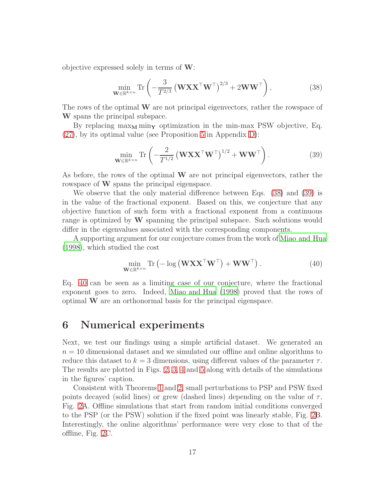objective expressed solely in terms of  $W$ :

<span id="page-16-1"></span>
$$
\min_{\mathbf{W}\in\mathbb{R}^{k\times n}} \text{Tr}\left(-\frac{3}{T^{2/3}}\left(\mathbf{W}\mathbf{X}\mathbf{X}^{\top}\mathbf{W}^{\top}\right)^{2/3} + 2\mathbf{W}\mathbf{W}^{\top}\right),\tag{38}
$$

The rows of the optimal W are not principal eigenvectors, rather the rowspace of W spans the principal subspace.

By replacing  $\max_M \min_Y$  optimization in the min-max PSW objective, Eq. [\(27\)](#page-11-1), by its optimal value (see Proposition [5](#page-35-0) in Appendix [D\)](#page-32-0):

<span id="page-16-2"></span>
$$
\min_{\mathbf{W} \in \mathbb{R}^{k \times n}} \text{Tr} \left( -\frac{2}{T^{1/2}} \left( \mathbf{W} \mathbf{X} \mathbf{X}^{\top} \mathbf{W}^{\top} \right)^{1/2} + \mathbf{W} \mathbf{W}^{\top} \right). \tag{39}
$$

As before, the rows of the optimal  $W$  are not principal eigenvectors, rather the rowspace of W spans the principal eigenspace.

We observe that the only material difference between Eqs. [\(38\)](#page-16-1) and [\(39\)](#page-16-2) is in the value of the fractional exponent. Based on this, we conjecture that any objective function of such form with a fractional exponent from a continuous range is optimized by W spanning the principal subspace. Such solutions would differ in the eigenvalues associated with the corresponding components.

A supporting argument for our conjecture comes from the work of [Miao and Hua](#page-45-8) [\(1998\)](#page-45-8), which studied the cost

<span id="page-16-3"></span>
$$
\min_{\mathbf{W} \in \mathbb{R}^{k \times n}} \text{Tr} \left( -\log \left( \mathbf{W} \mathbf{X} \mathbf{X}^{\top} \mathbf{W}^{\top} \right) + \mathbf{W} \mathbf{W}^{\top} \right). \tag{40}
$$

Eq. [40](#page-16-3) can be seen as a limiting case of our conjecture, where the fractional exponent goes to zero. Indeed, [Miao and Hua \(1998](#page-45-8)) proved that the rows of optimal W are an orthonormal basis for the principal eigenspace.

## <span id="page-16-0"></span>6 Numerical experiments

Next, we test our findings using a simple artificial dataset. We generated an  $n = 10$  dimensional dataset and we simulated our offline and online algorithms to reduce this dataset to  $k = 3$  dimensions, using different values of the parameter  $\tau$ . The results are plotted in Figs. [2,](#page-17-0) [3,](#page-18-0) [4](#page-19-0) and [5](#page-20-0) along with details of the simulations in the figures' caption.

Consistent with Theorems [1](#page-6-0) and [2,](#page-12-4) small perturbations to PSP and PSW fixed points decayed (solid lines) or grew (dashed lines) depending on the value of  $\tau$ , Fig. [2A](#page-17-0). Offline simulations that start from random initial conditions converged to the PSP (or the PSW) solution if the fixed point was linearly stable, Fig. [2B](#page-17-0). Interestingly, the online algorithms' performance were very close to that of the offline, Fig. [2C](#page-17-0).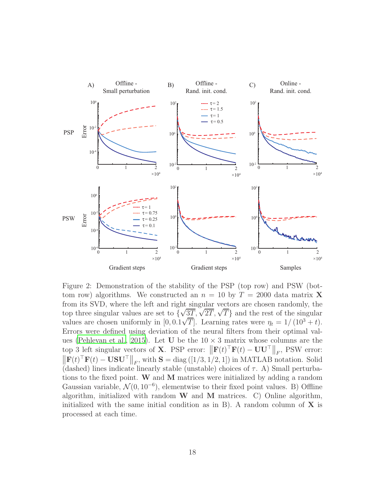

<span id="page-17-0"></span>Figure 2: Demonstration of the stability of the PSP (top row) and PSW (bottom row) algorithms. We constructed an  $n = 10$  by  $T = 2000$  data matrix **X** from its SVD, where the left and right singular vectors are chosen randomly, the top three singular values are set to  $\{\sqrt{3T}, \sqrt{2T}, \sqrt{T}\}$  and the rest of the singular values are chosen uniformly in  $[0, 0.1\sqrt{T}]$ . Learning rates were  $\eta_t = 1/(10^3 + t)$ . Errors were defined using deviation of the neural filters from their optimal val-ues [\(Pehlevan et al., 2015](#page-45-2)). Let U be the  $10 \times 3$  matrix whose columns are the top 3 left singular vectors of **X**. PSP error:  $\|\mathbf{F}(t)^\top \mathbf{F}(t) - \mathbf{U} \mathbf{U}^\top \|_F$ , PSW error:  $\|\mathbf{F}(t)^\top \mathbf{F}(t) - \mathbf{U} \mathbf{S} \mathbf{U}^\top \|_F$ , with  $\mathbf{S} = \text{diag}([1/3, 1/2, 1])$  in MATLAB notation. Solid (dashed) lines indicate linearly stable (unstable) choices of  $\tau$ . A) Small perturbations to the fixed point. W and M matrices were initialized by adding a random Gaussian variable,  $\mathcal{N}(0, 10^{-6})$ , elementwise to their fixed point values. B) Offline algorithm, initialized with random  $W$  and  $M$  matrices. C) Online algorithm, initialized with the same initial condition as in B). A random column of  $X$  is processed at each time.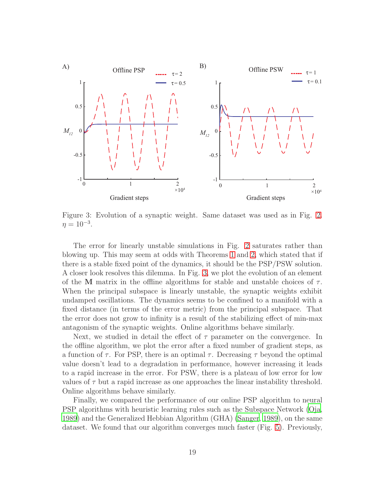

<span id="page-18-0"></span>Figure 3: Evolution of a synaptic weight. Same dataset was used as in Fig. [2.](#page-17-0)  $\eta = 10^{-3}$ .

The error for linearly unstable simulations in Fig. [2](#page-17-0) saturates rather than blowing up. This may seem at odds with Theorems [1](#page-6-0) and [2,](#page-12-4) which stated that if there is a stable fixed point of the dynamics, it should be the PSP/PSW solution. A closer look resolves this dilemma. In Fig. [3,](#page-18-0) we plot the evolution of an element of the M matrix in the offline algorithms for stable and unstable choices of  $\tau$ . When the principal subspace is linearly unstable, the synaptic weights exhibit undamped oscillations. The dynamics seems to be confined to a manifold with a fixed distance (in terms of the error metric) from the principal subspace. That the error does not grow to infinity is a result of the stabilizing effect of min-max antagonism of the synaptic weights. Online algorithms behave similarly.

Next, we studied in detail the effect of  $\tau$  parameter on the convergence. In the offline algorithm, we plot the error after a fixed number of gradient steps, as a function of  $\tau$ . For PSP, there is an optimal  $\tau$ . Decreasing  $\tau$  beyond the optimal value doesn't lead to a degradation in performance, however increasing it leads to a rapid increase in the error. For PSW, there is a plateau of low error for low values of  $\tau$  but a rapid increase as one approaches the linear instability threshold. Online algorithms behave similarly.

Finally, we compared the performance of our online PSP algorithm to neural PSP algorithms with heuristic learning rules such as the Subspace Network [\(Oja,](#page-45-9) [1989\)](#page-45-9) and the Generalized Hebbian Algorithm (GHA) [\(Sanger](#page-46-5), [1989](#page-46-5)), on the same dataset. We found that our algorithm converges much faster (Fig. [5\)](#page-20-0). Previously,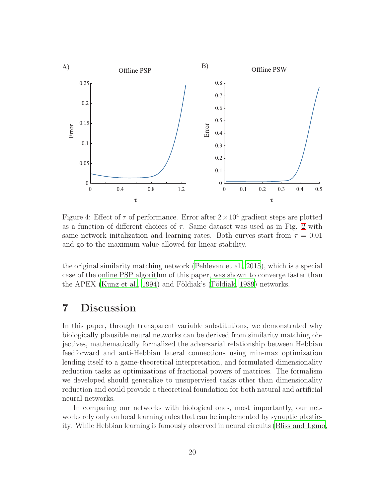

<span id="page-19-0"></span>Figure 4: Effect of  $\tau$  of performance. Error after  $2 \times 10^4$  gradient steps are plotted as a function of different choices of  $\tau$ . Same dataset was used as in Fig. [2](#page-17-0) with same network initalization and learning rates. Both curves start from  $\tau = 0.01$ and go to the maximum value allowed for linear stability.

the original similarity matching network [\(Pehlevan et al.](#page-45-2), [2015](#page-45-2)), which is a special case of the online PSP algorithm of this paper, was shown to converge faster than the APEX [\(Kung et al.](#page-44-8), [1994\)](#page-44-8) and Földiak's (Földiak, [1989\)](#page-44-1) networks.

## 7 Discussion

In this paper, through transparent variable substitutions, we demonstrated why biologically plausible neural networks can be derived from similarity matching objectives, mathematically formalized the adversarial relationship between Hebbian feedforward and anti-Hebbian lateral connections using min-max optimization lending itself to a game-theoretical interpretation, and formulated dimensionality reduction tasks as optimizations of fractional powers of matrices. The formalism we developed should generalize to unsupervised tasks other than dimensionality reduction and could provide a theoretical foundation for both natural and artificial neural networks.

In comparing our networks with biological ones, most importantly, our networks rely only on local learning rules that can be implemented by synaptic plasticity. While Hebbian learning is famously observed in neural circuits (Bliss [and Lømo](#page-44-9),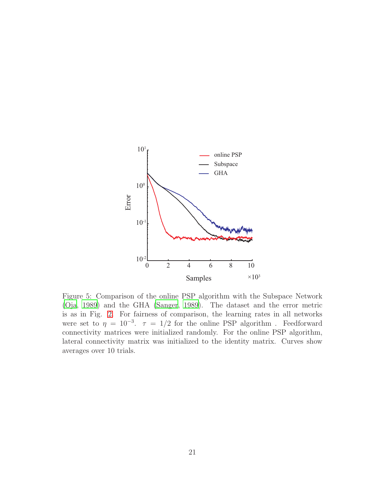

<span id="page-20-0"></span>Figure 5: Comparison of the online PSP algorithm with the Subspace Network [\(Oja](#page-45-9), [1989\)](#page-45-9) and the GHA [\(Sanger](#page-46-5), [1989\)](#page-46-5). The dataset and the error metric is as in Fig. [2.](#page-17-0) For fairness of comparison, the learning rates in all networks were set to  $\eta = 10^{-3}$ .  $\tau = 1/2$  for the online PSP algorithm. Feedforward connectivity matrices were initialized randomly. For the online PSP algorithm, lateral connectivity matrix was initialized to the identity matrix. Curves show averages over 10 trials.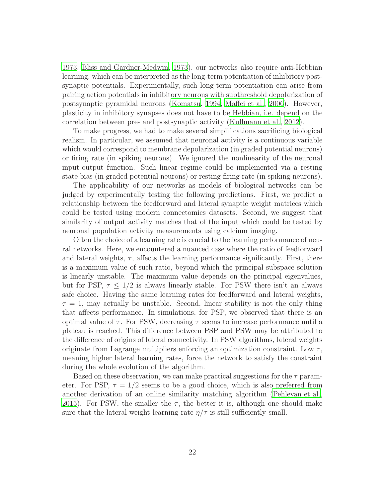[1973;](#page-44-9) [Bliss and Gardner-Medwin, 1973\)](#page-44-10), our networks also require anti-Hebbian learning, which can be interpreted as the long-term potentiation of inhibitory postsynaptic potentials. Experimentally, such long-term potentiation can arise from pairing action potentials in inhibitory neurons with subthreshold depolarization of postsynaptic pyramidal neurons [\(Komatsu](#page-44-11), [1994;](#page-44-11) [Maffei et al.](#page-45-10), [2006\)](#page-45-10). However, plasticity in inhibitory synapses does not have to be Hebbian, i.e. depend on the correlation between pre- and postsynaptic activity [\(Kullmann et al.,](#page-44-12) [2012](#page-44-12)).

To make progress, we had to make several simplifications sacrificing biological realism. In particular, we assumed that neuronal activity is a continuous variable which would correspond to membrane depolarization (in graded potential neurons) or firing rate (in spiking neurons). We ignored the nonlinearity of the neuronal input-output function. Such linear regime could be implemented via a resting state bias (in graded potential neurons) or resting firing rate (in spiking neurons).

The applicability of our networks as models of biological networks can be judged by experimentally testing the following predictions. First, we predict a relationship between the feedforward and lateral synaptic weight matrices which could be tested using modern connectomics datasets. Second, we suggest that similarity of output activity matches that of the input which could be tested by neuronal population activity measurements using calcium imaging.

Often the choice of a learning rate is crucial to the learning performance of neural networks. Here, we encountered a nuanced case where the ratio of feedforward and lateral weights,  $\tau$ , affects the learning performance significantly. First, there is a maximum value of such ratio, beyond which the principal subspace solution is linearly unstable. The maximum value depends on the principal eigenvalues, but for PSP,  $\tau \leq 1/2$  is always linearly stable. For PSW there isn't an always safe choice. Having the same learning rates for feedforward and lateral weights,  $\tau = 1$ , may actually be unstable. Second, linear stability is not the only thing that affects performance. In simulations, for PSP, we observed that there is an optimal value of  $\tau$ . For PSW, decreasing  $\tau$  seems to increase performance until a plateau is reached. This difference between PSP and PSW may be attributed to the difference of origins of lateral connectivity. In PSW algorithms, lateral weights originate from Lagrange multipliers enforcing an optimization constraint. Low  $\tau$ , meaning higher lateral learning rates, force the network to satisfy the constraint during the whole evolution of the algorithm.

Based on these observation, we can make practical suggestions for the  $\tau$  parameter. For PSP,  $\tau = 1/2$  seems to be a good choice, which is also preferred from another derivation of an online similarity matching algorithm [\(Pehlevan](#page-45-2) et al., [2015\)](#page-45-2). For PSW, the smaller the  $\tau$ , the better it is, although one should make sure that the lateral weight learning rate  $\eta/\tau$  is still sufficiently small.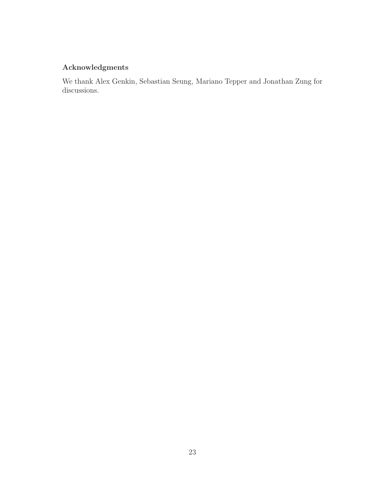## Acknowledgments

We thank Alex Genkin, Sebastian Seung, Mariano Tepper and Jonathan Zung for discussions.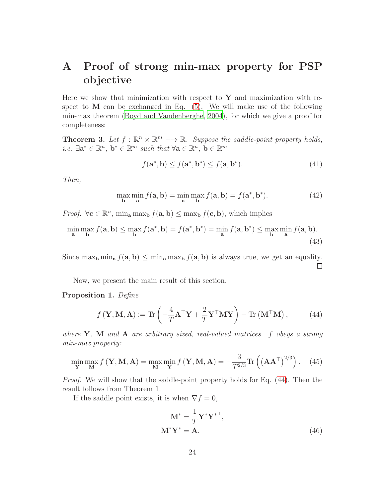# <span id="page-23-1"></span>A Proof of strong min-max property for PSP objective

Here we show that minimization with respect to  $\mathbf Y$  and maximization with respect to  $M$  can be exchanged in Eq.  $(5)$ . We will make use of the following min-max theorem [\(Boyd and Vandenberghe](#page-44-13), [2004](#page-44-13)), for which we give a proof for completeness:

**Theorem 3.** Let  $f : \mathbb{R}^n \times \mathbb{R}^m \longrightarrow \mathbb{R}$ . Suppose the saddle-point property holds, *i.e.*  $\exists \mathbf{a}^* \in \mathbb{R}^n$ ,  $\mathbf{b}^* \in \mathbb{R}^m$  such that  $\forall \mathbf{a} \in \mathbb{R}^n$ ,  $\mathbf{b} \in \mathbb{R}^m$ 

<span id="page-23-4"></span>
$$
f(\mathbf{a}^*, \mathbf{b}) \le f(\mathbf{a}^*, \mathbf{b}^*) \le f(\mathbf{a}, \mathbf{b}^*). \tag{41}
$$

Then,

$$
\max_{\mathbf{b}} \min_{\mathbf{a}} f(\mathbf{a}, \mathbf{b}) = \min_{\mathbf{a}} \max_{\mathbf{b}} f(\mathbf{a}, \mathbf{b}) = f(\mathbf{a}^*, \mathbf{b}^*). \tag{42}
$$

*Proof.*  $\forall c \in \mathbb{R}^n$ ,  $\min_a \max_b f(a, b) \leq \max_b f(c, b)$ , which implies

$$
\min_{\mathbf{a}} \max_{\mathbf{b}} f(\mathbf{a}, \mathbf{b}) \le \max_{\mathbf{b}} f(\mathbf{a}^*, \mathbf{b}) = f(\mathbf{a}^*, \mathbf{b}^*) = \min_{\mathbf{a}} f(\mathbf{a}, \mathbf{b}^*) \le \max_{\mathbf{b}} \min_{\mathbf{a}} f(\mathbf{a}, \mathbf{b}).
$$
\n(43)

Since  $\max_{\mathbf{b}} \min_{\mathbf{a}} f(\mathbf{a}, \mathbf{b}) \leq \min_{\mathbf{a}} \max_{\mathbf{b}} f(\mathbf{a}, \mathbf{b})$  is always true, we get an equality.

Now, we present the main result of this section.

#### <span id="page-23-0"></span>Proposition 1. Define

$$
f(\mathbf{Y}, \mathbf{M}, \mathbf{A}) := \text{Tr}\left(-\frac{4}{T}\mathbf{A}^\top \mathbf{Y} + \frac{2}{T}\mathbf{Y}^\top \mathbf{M} \mathbf{Y}\right) - \text{Tr}\left(\mathbf{M}^\top \mathbf{M}\right),\tag{44}
$$

where  $\bf{Y}$ ,  $\bf{M}$  and  $\bf{A}$  are arbitrary sized, real-valued matrices. f obeys a strong min-max property:

$$
\min_{\mathbf{Y}} \max_{\mathbf{M}} f(\mathbf{Y}, \mathbf{M}, \mathbf{A}) = \max_{\mathbf{M}} \min_{\mathbf{Y}} f(\mathbf{Y}, \mathbf{M}, \mathbf{A}) = -\frac{3}{T^{2/3}} \text{Tr}\left(\left(\mathbf{A}\mathbf{A}^{\top}\right)^{2/3}\right). \tag{45}
$$

Proof. We will show that the saddle-point property holds for Eq. [\(44\)](#page-23-2). Then the result follows from Theorem 1.

If the saddle point exists, it is when  $\nabla f = 0$ ,

<span id="page-23-3"></span><span id="page-23-2"></span>
$$
\mathbf{M}^* = \frac{1}{T} \mathbf{Y}^* \mathbf{Y}^{* \top},
$$
  

$$
\mathbf{M}^* \mathbf{Y}^* = \mathbf{A}.
$$
 (46)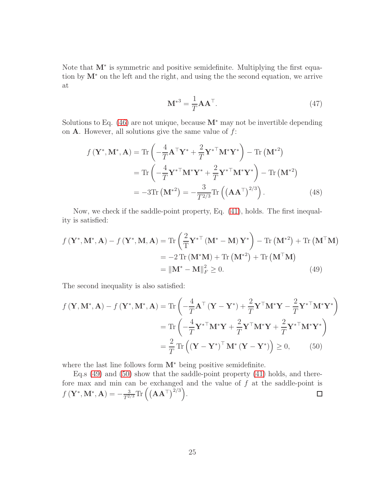Note that M<sup>\*</sup> is symmetric and positive semidefinite. Multiplying the first equation by M<sup>∗</sup> on the left and the right, and using the the second equation, we arrive at

<span id="page-24-0"></span>
$$
\mathbf{M}^{*3} = \frac{1}{T} \mathbf{A} \mathbf{A}^{\top}.
$$
 (47)

Solutions to Eq.  $(46)$  are not unique, because  $M^*$  may not be invertible depending on  $A$ . However, all solutions give the same value of  $f$ :

$$
f(\mathbf{Y}^*, \mathbf{M}^*, \mathbf{A}) = \text{Tr}\left(-\frac{4}{T}\mathbf{A}^\top \mathbf{Y}^* + \frac{2}{T}\mathbf{Y}^{*\top} \mathbf{M}^* \mathbf{Y}^*\right) - \text{Tr}\left(\mathbf{M}^{*2}\right)
$$

$$
= \text{Tr}\left(-\frac{4}{T}\mathbf{Y}^{*\top} \mathbf{M}^* \mathbf{Y}^* + \frac{2}{T}\mathbf{Y}^{*\top} \mathbf{M}^* \mathbf{Y}^*\right) - \text{Tr}\left(\mathbf{M}^{*2}\right)
$$

$$
= -3\text{Tr}\left(\mathbf{M}^{*2}\right) = -\frac{3}{T^{2/3}} \text{Tr}\left(\left(\mathbf{A}\mathbf{A}^\top\right)^{2/3}\right). \tag{48}
$$

Now, we check if the saddle-point property, Eq. [\(41\)](#page-23-4), holds. The first inequality is satisfied:

$$
f(\mathbf{Y}^*, \mathbf{M}^*, \mathbf{A}) - f(\mathbf{Y}^*, \mathbf{M}, \mathbf{A}) = \text{Tr}\left(\frac{2}{T}\mathbf{Y}^{*\top}(\mathbf{M}^* - \mathbf{M})\mathbf{Y}^*\right) - \text{Tr}(\mathbf{M}^{*2}) + \text{Tr}(\mathbf{M}^{\top}\mathbf{M})
$$
  
= -2 \text{Tr}(\mathbf{M}^\*\mathbf{M}) + \text{Tr}(\mathbf{M}^{\*2}) + \text{Tr}(\mathbf{M}^{\top}\mathbf{M})  
= ||\mathbf{M}^\* - \mathbf{M}||\_F^2 \ge 0. (49)

The second inequality is also satisfied:

$$
f(\mathbf{Y}, \mathbf{M}^*, \mathbf{A}) - f(\mathbf{Y}^*, \mathbf{M}^*, \mathbf{A}) = \text{Tr}\left(-\frac{4}{T}\mathbf{A}^\top(\mathbf{Y} - \mathbf{Y}^*) + \frac{2}{T}\mathbf{Y}^\top \mathbf{M}^* \mathbf{Y} - \frac{2}{T}\mathbf{Y}^{*\top} \mathbf{M}^* \mathbf{Y}^*\right)
$$
  
\n
$$
= \text{Tr}\left(-\frac{4}{T}\mathbf{Y}^{*\top}\mathbf{M}^* \mathbf{Y} + \frac{2}{T}\mathbf{Y}^\top \mathbf{M}^* \mathbf{Y} + \frac{2}{T}\mathbf{Y}^{*\top} \mathbf{M}^* \mathbf{Y}^*\right)
$$
  
\n
$$
= \frac{2}{T}\text{Tr}\left((\mathbf{Y} - \mathbf{Y}^*)^\top \mathbf{M}^*(\mathbf{Y} - \mathbf{Y}^*)\right) \ge 0, \qquad (50)
$$

<span id="page-24-1"></span>where the last line follows form M<sup>∗</sup> being positive semidefinite.

Eq.s  $(49)$  and  $(50)$  show that the saddle-point property  $(41)$  holds, and therefore max and min can be exchanged and the value of  $f$  at the saddle-point is  $f\left(\mathbf{Y}^*,\mathbf{M}^*,\mathbf{A}\right)=-\frac{3}{T^{2/3}}\text{Tr}\left(\left(\mathbf{A}\mathbf{A}^\top\right)^{2/3}\right).$  $\Box$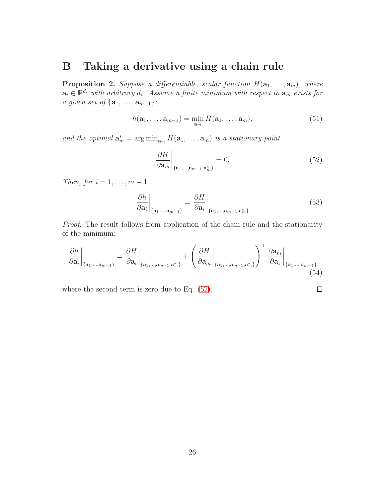## <span id="page-25-1"></span>B Taking a derivative using a chain rule

<span id="page-25-0"></span>**Proposition 2.** Suppose a differentiable, scalar function  $H(\mathbf{a}_1, \ldots, \mathbf{a}_m)$ , where  $\mathbf{a}_i \in \mathbb{R}^{d_i}$  with arbitrary  $d_i$ . Assume a finite minimum with respect to  $\mathbf{a}_m$  exists for a given set of  $\{a_1, \ldots, a_{m-1}\}$ :

$$
h(\mathbf{a}_1,\ldots,\mathbf{a}_{m-1})=\min_{\mathbf{a}_m}H(\mathbf{a}_1,\ldots,\mathbf{a}_m),
$$
\n(51)

and the optimal  $\mathbf{a}_m^* = \arg \min_{\mathbf{a}_m} H(\mathbf{a}_1, \dots, \mathbf{a}_m)$  is a stationary point

$$
\left. \frac{\partial H}{\partial \mathbf{a}_m} \right|_{\{\mathbf{a}_1, \dots, \mathbf{a}_{m-1}, \mathbf{a}_m^*\}} = 0. \tag{52}
$$

Then, for  $i = 1, \ldots, m - 1$ 

$$
\left. \frac{\partial h}{\partial \mathbf{a}_i} \right|_{\{\mathbf{a}_1, \dots, \mathbf{a}_{m-1}\}} = \left. \frac{\partial H}{\partial \mathbf{a}_i} \right|_{\{\mathbf{a}_1, \dots, \mathbf{a}_{m-1}, \mathbf{a}_m^*\}} \tag{53}
$$

Proof. The result follows from application of the chain rule and the stationarity of the minimum:

$$
\frac{\partial h}{\partial \mathbf{a}_i}\Big|_{\{\mathbf{a}_1,\dots,\mathbf{a}_{m-1}\}} = \frac{\partial H}{\partial \mathbf{a}_i}\Big|_{\{\mathbf{a}_1,\dots,\mathbf{a}_{m-1},\mathbf{a}_m^*\}} + \left(\frac{\partial H}{\partial \mathbf{a}_m}\Big|_{\{\mathbf{a}_1,\dots,\mathbf{a}_{m-1},\mathbf{a}_m^*\}}\right)^\top \frac{\partial \mathbf{a}_m}{\partial \mathbf{a}_i}\Big|_{\{\mathbf{a}_1,\dots,\mathbf{a}_{m-1}\}}\tag{54}
$$

where the second term is zero due to Eq. [\(52\)](#page-25-2).

<span id="page-25-2"></span> $\Box$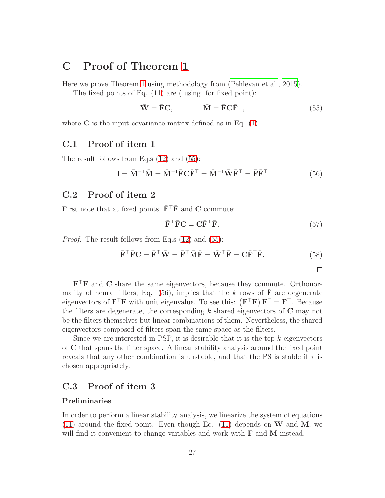## <span id="page-26-0"></span>C Proof of Theorem [1](#page-6-0)

Here we prove Theorem [1](#page-6-0) using methodology from [\(Pehlevan et al., 2015](#page-45-2)).

The fixed points of Eq.  $(11)$  are (using for fixed point):

$$
\bar{\mathbf{W}} = \bar{\mathbf{F}} \mathbf{C}, \qquad \qquad \bar{\mathbf{M}} = \bar{\mathbf{F}} \mathbf{C} \bar{\mathbf{F}}^{\top}, \tag{55}
$$

where  $C$  is the input covariance matrix defined as in Eq.  $(1)$ .

### C.1 Proof of item 1

The result follows from Eq.s [\(12\)](#page-5-3) and [\(55\)](#page-26-1):

$$
\mathbf{I} = \bar{\mathbf{M}}^{-1}\bar{\mathbf{M}} = \bar{\mathbf{M}}^{-1}\bar{\mathbf{F}}\mathbf{C}\bar{\mathbf{F}}^{\top} = \bar{\mathbf{M}}^{-1}\bar{\mathbf{W}}\bar{\mathbf{F}}^{\top} = \bar{\mathbf{F}}\bar{\mathbf{F}}^{\top}
$$
(56)

### <span id="page-26-4"></span>C.2 Proof of item 2

First note that at fixed points,  $\bar{\mathbf{F}}^{\top} \bar{\mathbf{F}}$  and **C** commute:

$$
\bar{\mathbf{F}}^{\top}\bar{\mathbf{F}}\mathbf{C} = \mathbf{C}\bar{\mathbf{F}}^{\top}\bar{\mathbf{F}}.\tag{57}
$$

*Proof.* The result follows from Eq.s [\(12\)](#page-5-3) and [\(55\)](#page-26-1):

$$
\bar{\mathbf{F}}^{\top}\bar{\mathbf{F}}\mathbf{C} = \bar{\mathbf{F}}^{\top}\bar{\mathbf{W}} = \bar{\mathbf{F}}^{\top}\bar{\mathbf{M}}\bar{\mathbf{F}} = \bar{\mathbf{W}}^{\top}\bar{\mathbf{F}} = \mathbf{C}\bar{\mathbf{F}}^{\top}\bar{\mathbf{F}}.
$$
 (58)

<span id="page-26-2"></span><span id="page-26-1"></span>

 $\bar{\mathbf{F}}^{\top} \bar{\mathbf{F}}$  and C share the same eigenvectors, because they commute. Orthonor-mality of neural filters, Eq. [\(56\)](#page-26-2), implies that the k rows of  $\overline{F}$  are degenerate eigenvectors of  $\bar{\mathbf{F}}^{\top}\bar{\mathbf{F}}$  with unit eigenvalue. To see this:  $(\bar{\mathbf{F}}^{\top}\bar{\mathbf{F}}) \bar{\mathbf{F}}^{\top} = \bar{\mathbf{F}}^{\top}$ . Because the filters are degenerate, the corresponding  $k$  shared eigenvectors of  $C$  may not be the filters themselves but linear combinations of them. Nevertheless, the shared eigenvectors composed of filters span the same space as the filters.

Since we are interested in PSP, it is desirable that it is the top  $k$  eigenvectors of C that spans the filter space. A linear stability analysis around the fixed point reveals that any other combination is unstable, and that the PS is stable if  $\tau$  is chosen appropriately.

### <span id="page-26-3"></span>C.3 Proof of item 3

#### Preliminaries

In order to perform a linear stability analysis, we linearize the system of equations [\(11\)](#page-5-2) around the fixed point. Even though Eq. [\(11\)](#page-5-2) depends on  $W$  and  $M$ , we will find it convenient to change variables and work with **F** and **M** instead.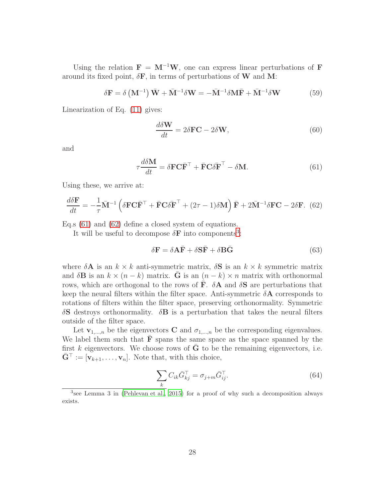Using the relation  $\mathbf{F} = \mathbf{M}^{-1}\mathbf{W}$ , one can express linear perturbations of F around its fixed point,  $\delta \mathbf{F}$ , in terms of perturbations of W and M:

$$
\delta \mathbf{F} = \delta \left( \mathbf{M}^{-1} \right) \bar{\mathbf{W}} + \bar{\mathbf{M}}^{-1} \delta \mathbf{W} = -\bar{\mathbf{M}}^{-1} \delta \mathbf{M} \bar{\mathbf{F}} + \bar{\mathbf{M}}^{-1} \delta \mathbf{W}
$$
(59)

Linearization of Eq. [\(11\)](#page-5-2) gives:

<span id="page-27-0"></span>
$$
\frac{d\delta \mathbf{W}}{dt} = 2\delta \mathbf{FC} - 2\delta \mathbf{W},\qquad(60)
$$

and

$$
\tau \frac{d\delta \mathbf{M}}{dt} = \delta \mathbf{F} \mathbf{C} \bar{\mathbf{F}}^{\top} + \bar{\mathbf{F}} \mathbf{C} \delta \bar{\mathbf{F}}^{\top} - \delta \mathbf{M}.
$$
 (61)

Using these, we arrive at:

$$
\frac{d\delta \mathbf{F}}{dt} = -\frac{1}{\tau} \bar{\mathbf{M}}^{-1} \left( \delta \mathbf{F} \mathbf{C} \bar{\mathbf{F}}^{\top} + \bar{\mathbf{F}} \mathbf{C} \delta \bar{\mathbf{F}}^{\top} + (2\tau - 1)\delta \mathbf{M} \right) \bar{\mathbf{F}} + 2\bar{\mathbf{M}}^{-1} \delta \mathbf{F} \mathbf{C} - 2\delta \mathbf{F}. \tag{62}
$$

Eq.s [\(61\)](#page-27-0) and [\(62\)](#page-27-1) define a closed system of equations.

It will be useful to decompose  $\delta \mathbf{F}$  into components<sup>[3](#page-27-2)</sup>:

<span id="page-27-1"></span>
$$
\delta \mathbf{F} = \delta \mathbf{A} \bar{\mathbf{F}} + \delta \mathbf{S} \bar{\mathbf{F}} + \delta \mathbf{B} \bar{\mathbf{G}} \tag{63}
$$

where  $\delta A$  is an  $k \times k$  anti-symmetric matrix,  $\delta S$  is an  $k \times k$  symmetric matrix and  $\delta \mathbf{B}$  is an  $k \times (n - k)$  matrix. G is an  $(n - k) \times n$  matrix with orthonormal rows, which are orthogonal to the rows of  $\overline{F}$ .  $\delta A$  and  $\delta S$  are perturbations that keep the neural filters within the filter space. Anti-symmetric  $\delta A$  corresponds to rotations of filters within the filter space, preserving orthonormality. Symmetric  $\delta S$  destroys orthonormality.  $\delta B$  is a perturbation that takes the neural filters outside of the filter space.

Let  $\mathbf{v}_{1,...,n}$  be the eigenvectors **C** and  $\sigma_{1,...,n}$  be the corresponding eigenvalues. We label them such that  $\bar{F}$  spans the same space as the space spanned by the first  $k$  eigenvectors. We choose rows of  $G$  to be the remaining eigenvectors, i.e.  $\bar{\mathbf{G}}^{\top} := [\mathbf{v}_{k+1}, \ldots, \mathbf{v}_n].$  Note that, with this choice,

$$
\sum_{k} C_{ik} \bar{G}_{kj}^{\top} = \sigma_{j+m} \bar{G}_{ij}^{\top}.
$$
\n(64)

<span id="page-27-2"></span><sup>3</sup> see Lemma 3 in [\(Pehlevan et al.](#page-45-2), [2015\)](#page-45-2) for a proof of why such a decomposition always exists.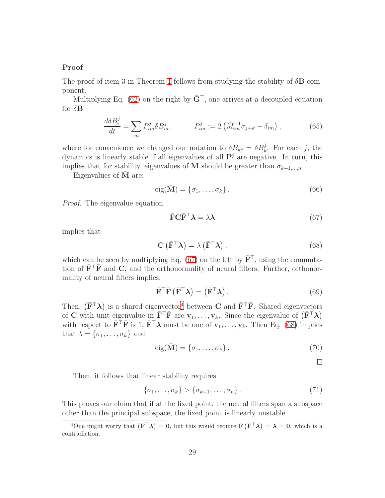#### Proof

The proof of item 3 in Theorem [1](#page-6-0) follows from studying the stability of  $\delta$ **B** component.

Multiplying Eq. [\(62\)](#page-27-1) on the right by  $\bar{G}^{\dagger}$ , one arrives at a decoupled equation for  $\delta \mathbf{B}$ :

$$
\frac{d\delta B_i^j}{dt} = \sum_m P_{im}^j \delta B_m^j, \qquad P_{im}^j := 2\left(\bar{M}_{im}^{-1}\sigma_{j+k} - \delta_{im}\right),\tag{65}
$$

where for convenience we changed our notation to  $\delta B_{kj} = \delta B_k^j$ . For each j, the dynamics is linearly stable if all eigenvalues of all  $P<sup>j</sup>$  are negative. In turn, this implies that for stability, eigenvalues of  $\overline{M}$  should be greater than  $\sigma_{k+1,\dots,n}$ .

Eigenvalues of  $M$  are:

$$
eig(\bar{\mathbf{M}}) = \{\sigma_1, \dots, \sigma_k\}.
$$
\n(66)

Proof. The eigenvalue equation

<span id="page-28-0"></span>
$$
\bar{\mathbf{F}} \mathbf{C} \bar{\mathbf{F}}^{\top} \boldsymbol{\lambda} = \lambda \boldsymbol{\lambda} \tag{67}
$$

implies that

$$
\mathbf{C} \left( \bar{\mathbf{F}}^{\top} \boldsymbol{\lambda} \right) = \lambda \left( \bar{\mathbf{F}}^{\top} \boldsymbol{\lambda} \right), \tag{68}
$$

which can be seen by multiplying Eq. [\(67\)](#page-28-0) on the left by  $\bar{F}^{\top}$ , using the commutation of  $\bar{\mathbf{F}}^{\top}\bar{\mathbf{F}}$  and  $\mathbf{C}$ , and the orthonormality of neural filters. Further, orthonormality of neural filters implies:

$$
\bar{\mathbf{F}}^{\top}\bar{\mathbf{F}}\left(\bar{\mathbf{F}}^{\top}\boldsymbol{\lambda}\right) = \left(\bar{\mathbf{F}}^{\top}\boldsymbol{\lambda}\right). \tag{69}
$$

Then,  $(\bar{F}^{\top}\lambda)$  is a shared eigenvector<sup>[4](#page-28-1)</sup> between **C** and  $\bar{F}^{\top}\bar{F}$ . Shared eigenvectors of C with unit eigenvalue in  $\bar{F}^\top \bar{F}$  are  $v_1, \ldots, v_k$ . Since the eigenvalue of  $(\bar{F}^\top \lambda)$ with respect to  $\mathbf{F}^{\top} \mathbf{F}$  is 1,  $\mathbf{F}^{\top} \boldsymbol{\lambda}$  must be one of  $\mathbf{v}_1, \ldots, \mathbf{v}_k$ . Then Eq. [\(68\)](#page-28-2) implies that  $\lambda = {\sigma_1, \ldots, \sigma_k}$  and

$$
eig(\bar{\mathbf{M}}) = \{\sigma_1, \dots, \sigma_k\}.
$$
 (70)

<span id="page-28-2"></span> $\Box$ 

Then, it follows that linear stability requires

$$
\{\sigma_1,\ldots,\sigma_k\} > \{\sigma_{k+1},\ldots,\sigma_n\}.
$$
 (71)

This proves our claim that if at the fixed point, the neural filters span a subspace other than the principal subspace, the fixed point is linearly unstable.

<span id="page-28-1"></span><sup>&</sup>lt;sup>4</sup>One might worry that  $(\bar{F}^T \lambda) = 0$ , but this would require  $\bar{F}(\bar{F}^T \lambda) = \lambda = 0$ , which is a contradiction.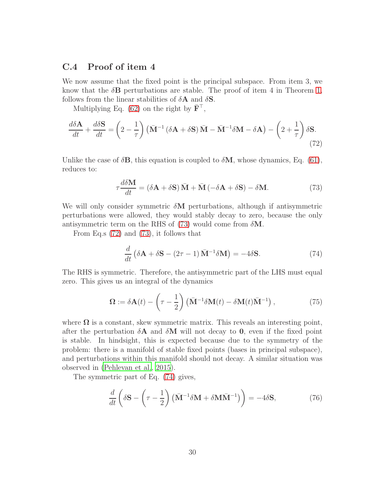### C.4 Proof of item 4

We now assume that the fixed point is the principal subspace. From item 3, we know that the  $\delta$ **B** perturbations are stable. The proof of item 4 in Theorem [1,](#page-6-0) follows from the linear stabilities of  $\delta A$  and  $\delta S$ .

Multiplying Eq. [\(62\)](#page-27-1) on the right by  $\mathbf{F}^{\top}$ ,

$$
\frac{d\delta \mathbf{A}}{dt} + \frac{d\delta \mathbf{S}}{dt} = \left(2 - \frac{1}{\tau}\right) \left(\bar{\mathbf{M}}^{-1} \left(\delta \mathbf{A} + \delta \mathbf{S}\right) \bar{\mathbf{M}} - \bar{\mathbf{M}}^{-1} \delta \mathbf{M} - \delta \mathbf{A}\right) - \left(2 + \frac{1}{\tau}\right) \delta \mathbf{S}.
$$
\n(72)

Unlike the case of  $\delta \mathbf{B}$ , this equation is coupled to  $\delta \mathbf{M}$ , whose dynamics, Eq. [\(61\)](#page-27-0), reduces to:

<span id="page-29-1"></span><span id="page-29-0"></span>
$$
\tau \frac{d\delta \mathbf{M}}{dt} = (\delta \mathbf{A} + \delta \mathbf{S}) \bar{\mathbf{M}} + \bar{\mathbf{M}} \left( -\delta \mathbf{A} + \delta \mathbf{S} \right) - \delta \mathbf{M}.
$$
 (73)

We will only consider symmetric  $\delta M$  perturbations, although if antisymmetric perturbations were allowed, they would stably decay to zero, because the only antisymmetric term on the RHS of [\(73\)](#page-29-0) would come from  $\delta M$ .

From Eq.s [\(72\)](#page-29-1) and [\(73\)](#page-29-0), it follows that

<span id="page-29-3"></span><span id="page-29-2"></span>
$$
\frac{d}{dt} \left( \delta \mathbf{A} + \delta \mathbf{S} - (2\tau - 1) \bar{\mathbf{M}}^{-1} \delta \mathbf{M} \right) = -4\delta \mathbf{S}.
$$
 (74)

The RHS is symmetric. Therefore, the antisymmetric part of the LHS must equal zero. This gives us an integral of the dynamics

$$
\Omega := \delta \mathbf{A}(t) - \left(\tau - \frac{1}{2}\right) \left(\bar{\mathbf{M}}^{-1} \delta \mathbf{M}(t) - \delta \mathbf{M}(t) \bar{\mathbf{M}}^{-1}\right),\tag{75}
$$

where  $\Omega$  is a constant, skew symmetric matrix. This reveals an interesting point, after the perturbation  $\delta A$  and  $\delta M$  will not decay to 0, even if the fixed point is stable. In hindsight, this is expected because due to the symmetry of the problem: there is a manifold of stable fixed points (bases in principal subspace), and perturbations within this manifold should not decay. A similar situation was observed in [\(Pehlevan et al., 2015\)](#page-45-2).

The symmetric part of Eq. [\(74\)](#page-29-2) gives,

$$
\frac{d}{dt}\left(\delta \mathbf{S} - \left(\tau - \frac{1}{2}\right)\left(\bar{\mathbf{M}}^{-1}\delta \mathbf{M} + \delta \mathbf{M}\bar{\mathbf{M}}^{-1}\right)\right) = -4\delta \mathbf{S},\tag{76}
$$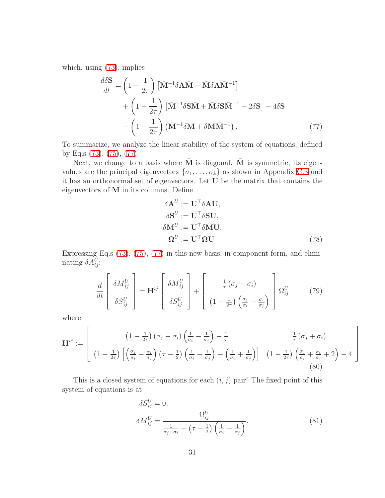which, using [\(73\)](#page-29-0), implies

$$
\frac{d\delta \mathbf{S}}{dt} = \left(1 - \frac{1}{2\tau}\right) \left[\bar{\mathbf{M}}^{-1} \delta \mathbf{A} \bar{\mathbf{M}} - \bar{\mathbf{M}} \delta \mathbf{A} \bar{\mathbf{M}}^{-1}\right] \n+ \left(1 - \frac{1}{2\tau}\right) \left[\bar{\mathbf{M}}^{-1} \delta \mathbf{S} \bar{\mathbf{M}} + \bar{\mathbf{M}} \delta \mathbf{S} \bar{\mathbf{M}}^{-1} + 2\delta \mathbf{S}\right] - 4\delta \mathbf{S} \n- \left(1 - \frac{1}{2\tau}\right) \left(\bar{\mathbf{M}}^{-1} \delta \mathbf{M} + \delta \mathbf{M} \bar{\mathbf{M}}^{-1}\right).
$$
\n(77)

To summarize, we analyze the linear stability of the system of equations, defined by Eq.s [\(73\)](#page-29-0), [\(75\)](#page-29-3), [\(77\)](#page-30-0).

Next, we change to a basis where  $\overline{M}$  is diagonal.  $\overline{M}$  is symmetric, its eigenvalues are the principal eigenvectors  $\{\sigma_1, \ldots, \sigma_k\}$  as shown in Appendix [C.3](#page-26-3) and it has an orthonormal set of eigenvectors. Let U be the matrix that contains the eigenvectors of  $\overline{M}$  in its columns. Define

<span id="page-30-1"></span><span id="page-30-0"></span>
$$
\delta \mathbf{A}^{U} := \mathbf{U}^{\top} \delta \mathbf{A} \mathbf{U}, \n\delta \mathbf{S}^{U} := \mathbf{U}^{\top} \delta \mathbf{S} \mathbf{U}, \n\delta \mathbf{M}^{U} := \mathbf{U}^{\top} \delta \mathbf{M} \mathbf{U}, \n\mathbf{\Omega}^{U} := \mathbf{U}^{\top} \mathbf{\Omega} \mathbf{U}
$$
\n(78)

Expressing Eq.s [\(73\)](#page-29-0), [\(75\)](#page-29-3), [\(77\)](#page-30-0) in this new basis, in component form, and eliminating  $\delta A_{ij}^U$ :

$$
\frac{d}{dt} \begin{bmatrix} \delta M_{ij}^U \\ \delta S_{ij}^U \end{bmatrix} = \mathbf{H}^{ij} \begin{bmatrix} \delta M_{ij}^U \\ \delta S_{ij}^U \end{bmatrix} + \begin{bmatrix} \frac{1}{\tau} (\sigma_j - \sigma_i) \\ (1 - \frac{1}{2\tau}) \left( \frac{\sigma_j}{\sigma_i} - \frac{\sigma_i}{\sigma_j} \right) \end{bmatrix} \Omega_{ij}^U
$$
(79)

where

$$
\mathbf{H}^{ij} := \left[ \begin{array}{cc} \left(1 - \frac{1}{2\tau}\right) \left(\sigma_j - \sigma_i\right) \left(\frac{1}{\sigma_i} - \frac{1}{\sigma_j}\right) - \frac{1}{\tau} & \frac{1}{\tau} \left(\sigma_j + \sigma_i\right) \\ \left(1 - \frac{1}{2\tau}\right) \left[\left(\frac{\sigma_j}{\sigma_i} - \frac{\sigma_i}{\sigma_j}\right) \left(\tau - \frac{1}{2}\right) \left(\frac{1}{\sigma_i} - \frac{1}{\sigma_j}\right) - \left(\frac{1}{\sigma_i} + \frac{1}{\sigma_j}\right)\right] & \left(1 - \frac{1}{2\tau}\right) \left(\frac{\sigma_j}{\sigma_i} + \frac{\sigma_i}{\sigma_j} + 2\right) - 4 \end{array} \right] \tag{80}
$$

This is a closed system of equations for each  $(i, j)$  pair! The fixed point of this system of equations is at

$$
\delta S_{ij}^U = 0,
$$
  
\n
$$
\delta M_{ij}^U = \frac{\Omega_{ij}^U}{\frac{1}{\sigma_j - \sigma_i} - (\tau - \frac{1}{2}) \left(\frac{1}{\sigma_i} - \frac{1}{\sigma_j}\right)}.
$$
\n(81)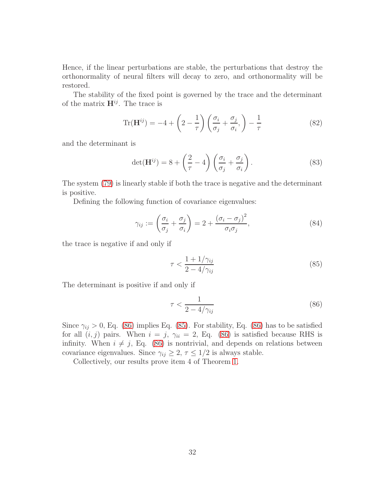Hence, if the linear perturbations are stable, the perturbations that destroy the orthonormality of neural filters will decay to zero, and orthonormality will be restored.

The stability of the fixed point is governed by the trace and the determinant of the matrix  $\mathbf{H}^{ij}$ . The trace is

$$
\text{Tr}(\mathbf{H}^{ij}) = -4 + \left(2 - \frac{1}{\tau}\right) \left(\frac{\sigma_i}{\sigma_j} + \frac{\sigma_j}{\sigma_i}\right) - \frac{1}{\tau}
$$
 (82)

and the determinant is

$$
\det(\mathbf{H}^{ij}) = 8 + \left(\frac{2}{\tau} - 4\right) \left(\frac{\sigma_i}{\sigma_j} + \frac{\sigma_j}{\sigma_i}\right). \tag{83}
$$

The system [\(79\)](#page-30-1) is linearly stable if both the trace is negative and the determinant is positive.

Defining the following function of covariance eigenvalues:

$$
\gamma_{ij} := \left(\frac{\sigma_i}{\sigma_j} + \frac{\sigma_j}{\sigma_i}\right) = 2 + \frac{(\sigma_i - \sigma_j)^2}{\sigma_i \sigma_j},\tag{84}
$$

the trace is negative if and only if

<span id="page-31-1"></span>
$$
\tau < \frac{1 + 1/\gamma_{ij}}{2 - 4/\gamma_{ij}}\tag{85}
$$

The determinant is positive if and only if

<span id="page-31-0"></span>
$$
\tau < \frac{1}{2 - 4/\gamma_{ij}}\tag{86}
$$

Since  $\gamma_{ij} > 0$ , Eq. [\(86\)](#page-31-0) implies Eq. [\(85\)](#page-31-1). For stability, Eq. (86) has to be satisfied for all  $(i, j)$  pairs. When  $i = j$ ,  $\gamma_{ii} = 2$ , Eq. [\(86\)](#page-31-0) is satisfied because RHS is infinity. When  $i \neq j$ , Eq. [\(86\)](#page-31-0) is nontrivial, and depends on relations between covariance eigenvalues. Since  $\gamma_{ij} \geq 2, \tau \leq 1/2$  is always stable.

Collectively, our results prove item 4 of Theorem [1.](#page-6-0)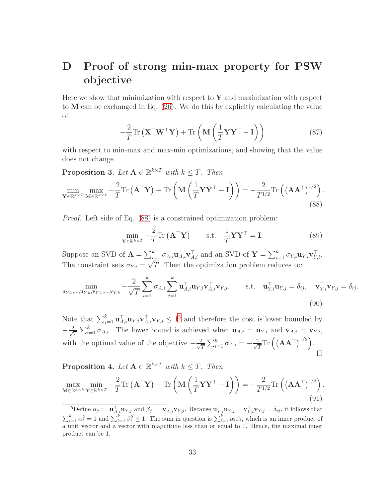# <span id="page-32-0"></span>D Proof of strong min-max property for PSW objective

Here we show that minimization with respect to  $\mathbf Y$  and maximization with respect to M can be exchanged in Eq. [\(26\)](#page-11-0). We do this by explicitly calculating the value of

$$
-\frac{2}{T}\mathrm{Tr}\left(\mathbf{X}^{\top}\mathbf{W}^{\top}\mathbf{Y}\right) + \mathrm{Tr}\left(\mathbf{M}\left(\frac{1}{T}\mathbf{Y}\mathbf{Y}^{\top}-\mathbf{I}\right)\right) \tag{87}
$$

with respect to min-max and max-min optimizations, and showing that the value does not change.

<span id="page-32-3"></span>**Proposition 3.** Let  $A \in \mathbb{R}^{k \times T}$  with  $k \leq T$ . Then

$$
\min_{\mathbf{Y} \in \mathbb{R}^{k \times T} \le \mathbf{M} \in \mathbb{R}^{k \times k}} -\frac{2}{T} \text{Tr} \left( \mathbf{A}^{\top} \mathbf{Y} \right) + \text{Tr} \left( \mathbf{M} \left( \frac{1}{T} \mathbf{Y} \mathbf{Y}^{\top} - \mathbf{I} \right) \right) = -\frac{2}{T^{1/2}} \text{Tr} \left( \left( \mathbf{A} \mathbf{A}^{\top} \right)^{1/2} \right). \tag{88}
$$

Proof. Left side of Eq. [\(88\)](#page-32-1) is a constrained optimization problem:

<span id="page-32-1"></span>
$$
\min_{\mathbf{Y} \in \mathbb{R}^{k \times T}} -\frac{2}{T} \text{Tr} \left( \mathbf{A}^{\top} \mathbf{Y} \right) \qquad \text{s.t.} \quad \frac{1}{T} \mathbf{Y} \mathbf{Y}^{\top} = \mathbf{I}. \tag{89}
$$

Suppose an SVD of  $\mathbf{A} = \sum_{i=1}^{k} \sigma_{A,i} \mathbf{u}_{A,i} \mathbf{v}_{A,i}^{\top}$  and an SVD of  $\mathbf{Y} = \sum_{i=1}^{k} \sigma_{Y,i} \mathbf{u}_{Y,i} \mathbf{v}_{Y,i}^{\top}$ . The constraint sets  $\sigma_{Y,i} = \sqrt{T}$ . Then the optimization problem reduces to:

$$
\min_{\mathbf{u}_{Y,1},\dots,\mathbf{u}_{Y,k},\mathbf{v}_{Y,1},\dots,\mathbf{v}_{Y,k}} -\frac{2}{\sqrt{T}}\sum_{i=1}^{k} \sigma_{A,i} \sum_{j=1}^{k} \mathbf{u}_{A,i}^{\top} \mathbf{u}_{Y,j} \mathbf{v}_{A,i}^{\top} \mathbf{v}_{Y,j}, \quad \text{s.t.} \quad \mathbf{u}_{Y,i}^{\top} \mathbf{u}_{Y,j} = \delta_{ij}, \quad \mathbf{v}_{Y,i}^{\top} \mathbf{v}_{Y,j} = \delta_{ij}.
$$
\n(90)

Note that  $\sum_{j=1}^k \mathbf{u}_{A,i}^\top \mathbf{u}_{Y,j} \mathbf{v}_{A,i}^\top \mathbf{v}_{Y,j} \leq 1^5$  $\sum_{j=1}^k \mathbf{u}_{A,i}^\top \mathbf{u}_{Y,j} \mathbf{v}_{A,i}^\top \mathbf{v}_{Y,j} \leq 1^5$  and therefore the cost is lower bounded by  $\frac{p}{T} \sum_{i=1}^{k} \sigma_{A,i}$ . The lower bound is achieved when  $\mathbf{u}_{A,i} = \mathbf{u}_{Y,i}$  and  $\mathbf{v}_{A,i} = \mathbf{v}_{Y,i}$ ,  $-\frac{2}{\sqrt{2}}$  $\frac{2}{T}\text{Tr}\left(\left(\mathbf{A}\mathbf{A}^{\top}\right)^{1/2}\right).$  $\frac{p}{T}\sum_{i=1}^k \sigma_{A,i} = -\frac{2}{\sqrt{2}}$ with the optimal value of the objective  $-\frac{2}{\sqrt{2}}$  $\Box$ 

<span id="page-32-4"></span>**Proposition 4.** Let  $A \in \mathbb{R}^{k \times T}$  with  $k \leq T$ . Then

$$
\max_{\mathbf{M}\in\mathbb{R}^{k\times k}}\min_{\mathbf{Y}\in\mathbb{R}^{k\times T}} -\frac{2}{T}\mathrm{Tr}\left(\mathbf{A}^{\top}\mathbf{Y}\right)+\mathrm{Tr}\left(\mathbf{M}\left(\frac{1}{T}\mathbf{Y}\mathbf{Y}^{\top}-\mathbf{I}\right)\right)=-\frac{2}{T^{1/2}}\mathrm{Tr}\left(\left(\mathbf{A}\mathbf{A}^{\top}\right)^{1/2}\right).
$$
\n(91)

<span id="page-32-2"></span><sup>&</sup>lt;sup>5</sup>Define  $\alpha_j := \mathbf{u}_{A,i}^\top \mathbf{u}_{Y,j}$  and  $\beta_j := \mathbf{v}_{A,i}^\top \mathbf{v}_{Y,j}$ . Because  $\mathbf{u}_{Y,i}^\top \mathbf{u}_{Y,j} = \mathbf{v}_{Y,i}^\top \mathbf{v}_{Y,j} = \delta_{ij}$ , it follows that  $\sum_{i=1}^{k} \alpha_i^2 = 1$  and  $\sum_{i=1}^{k} \beta_i^2 \leq 1$ . The sum in question is  $\sum_{i=1}^{k} \alpha_i \beta_i$ , which is an inner product of a unit vector and a vector with magnitude less than or equal to 1. Hence, the maximal inner product can be 1.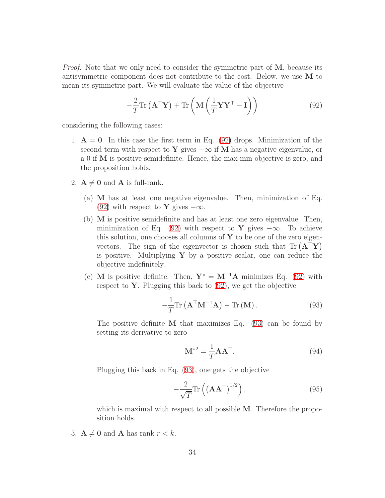*Proof.* Note that we only need to consider the symmetric part of M, because its antisymmetric component does not contribute to the cost. Below, we use M to mean its symmetric part. We will evaluate the value of the objective

<span id="page-33-0"></span>
$$
-\frac{2}{T}\mathrm{Tr}\left(\mathbf{A}^{\top}\mathbf{Y}\right) + \mathrm{Tr}\left(\mathbf{M}\left(\frac{1}{T}\mathbf{Y}\mathbf{Y}^{\top} - \mathbf{I}\right)\right) \tag{92}
$$

considering the following cases:

- 1.  $A = 0$ . In this case the first term in Eq. [\(92\)](#page-33-0) drops. Minimization of the second term with respect to Y gives  $-\infty$  if M has a negative eigenvalue, or a 0 if M is positive semidefinite. Hence, the max-min objective is zero, and the proposition holds.
- 2.  $A \neq 0$  and A is full-rank.
	- (a) M has at least one negative eigenvalue. Then, minimization of Eq. [\(92\)](#page-33-0) with respect to **Y** gives  $-\infty$ .
	- (b) M is positive semidefinite and has at least one zero eigenvalue. Then, minimization of Eq. [\(92\)](#page-33-0) with respect to Y gives  $-\infty$ . To achieve this solution, one chooses all columns of  $Y$  to be one of the zero eigenvectors. The sign of the eigenvector is chosen such that  $\text{Tr}(\mathbf{A}^{\top}\mathbf{Y})$ is positive. Multiplying  $Y$  by a positive scalar, one can reduce the objective indefinitely.
	- (c) M is positive definite. Then,  $Y^* = M^{-1}A$  minimizes Eq. [\(92\)](#page-33-0) with respect to  $\mathbf Y$ . Plugging this back to  $(92)$ , we get the objective

$$
-\frac{1}{T}\mathrm{Tr}\left(\mathbf{A}^{\top}\mathbf{M}^{-1}\mathbf{A}\right) - \mathrm{Tr}\left(\mathbf{M}\right). \tag{93}
$$

The positive definite  $M$  that maximizes Eq. [\(93\)](#page-33-1) can be found by setting its derivative to zero

<span id="page-33-1"></span>
$$
\mathbf{M}^{*2} = \frac{1}{T} \mathbf{A} \mathbf{A}^{\top}.
$$
 (94)

Plugging this back in Eq. [\(93\)](#page-33-1), one gets the objective

$$
-\frac{2}{\sqrt{T}}\text{Tr}\left(\left(\mathbf{A}\mathbf{A}^{\top}\right)^{1/2}\right),\tag{95}
$$

which is maximal with respect to all possible M. Therefore the proposition holds.

3.  $A \neq 0$  and A has rank  $r < k$ .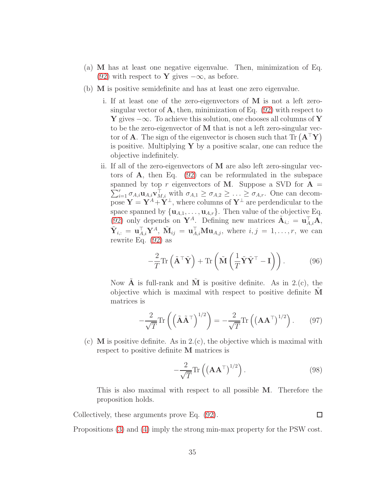- (a) M has at least one negative eigenvalue. Then, minimization of Eq. [\(92\)](#page-33-0) with respect to Y gives  $-\infty$ , as before.
- (b) M is positive semidefinite and has at least one zero eigenvalue.
	- i. If at least one of the zero-eigenvectors of M is not a left zerosingular vector of  $\bf{A}$ , then, minimization of Eq. [\(92\)](#page-33-0) with respect to **Y** gives  $-\infty$ . To achieve this solution, one chooses all columns of **Y** to be the zero-eigenvector of M that is not a left zero-singular vector of **A**. The sign of the eigenvector is chosen such that  $\text{Tr}(\mathbf{A}^T \mathbf{Y})$ is positive. Multiplying  $\bf{Y}$  by a positive scalar, one can reduce the objective indefinitely.
	- ii. If all of the zero-eigenvectors of M are also left zero-singular vectors of A, then Eq. [\(92\)](#page-33-0) can be reformulated in the subspace  $\sum_{i=1}^r \sigma_{A,i} \mathbf{u}_{A,i} \mathbf{v}_{M,i}^{\top}$  with  $\sigma_{A,1} \geq \sigma_{A,2} \geq \ldots \geq \sigma_{A,r}$ . One can decomspanned by top r eigenvectors of M. Suppose a SVD for  $A =$ pose  $\mathbf{Y} = \mathbf{Y}^A + \mathbf{Y}^\perp$ , where columns of  $\mathbf{Y}^\perp$  are perdendicular to the space spanned by  $\{u_{A,1}, \ldots, u_{A,r}\}.$  Then value of the objective Eq. [\(92\)](#page-33-0) only depends on  $\mathbf{Y}^{A}$ . Defining new matrices  $\tilde{\mathbf{A}}_{i,:} = \mathbf{u}_{A,i}^{\top} \mathbf{A},$  $\tilde{\mathbf{Y}}_{i,:} = \mathbf{u}_{A,i}^{\top} \mathbf{Y}^{A}, \ \tilde{\mathbf{M}}_{ij} = \mathbf{u}_{A,i}^{\top} \mathbf{M} \mathbf{u}_{A,j}, \ \text{where} \ i,j = 1,\ldots,r, \text{ we can}$ rewrite Eq. [\(92\)](#page-33-0) as

$$
-\frac{2}{T}\text{Tr}\left(\tilde{\mathbf{A}}^{\top}\tilde{\mathbf{Y}}\right) + \text{Tr}\left(\tilde{\mathbf{M}}\left(\frac{1}{T}\tilde{\mathbf{Y}}\tilde{\mathbf{Y}}^{\top}-\mathbf{I}\right)\right).
$$
 (96)

Now  $\bf{A}$  is full-rank and  $\bf{M}$  is positive definite. As in 2.(c), the objective which is maximal with respect to positive definite  $M$ matrices is

$$
-\frac{2}{\sqrt{T}}\mathrm{Tr}\left(\left(\tilde{\mathbf{A}}\tilde{\mathbf{A}}^{\top}\right)^{1/2}\right) = -\frac{2}{\sqrt{T}}\mathrm{Tr}\left(\left(\mathbf{A}\mathbf{A}^{\top}\right)^{1/2}\right). \tag{97}
$$

(c)  $\mathbf{M}$  is positive definite. As in 2.(c), the objective which is maximal with respect to positive definite M matrices is

$$
-\frac{2}{\sqrt{T}}\text{Tr}\left(\left(\mathbf{A}\mathbf{A}^{\top}\right)^{1/2}\right). \tag{98}
$$

This is also maximal with respect to all possible M. Therefore the proposition holds.

Collectively, these arguments prove Eq. [\(92\)](#page-33-0).  $\Box$ 

Propositions [\(3\)](#page-32-3) and [\(4\)](#page-32-4) imply the strong min-max property for the PSW cost.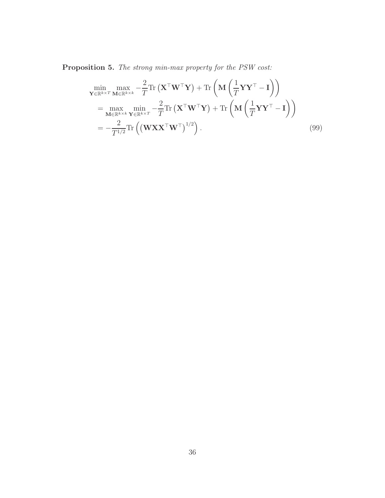<span id="page-35-0"></span>Proposition 5. The strong min-max property for the PSW cost:

$$
\min_{\mathbf{Y} \in \mathbb{R}^{k \times T} \mathbf{M} \in \mathbb{R}^{k \times k}} \max_{\mathbf{M} \in \mathbb{R}^{k \times k}} -\frac{2}{T} \text{Tr} \left( \mathbf{X}^{\top} \mathbf{W}^{\top} \mathbf{Y} \right) + \text{Tr} \left( \mathbf{M} \left( \frac{1}{T} \mathbf{Y} \mathbf{Y}^{\top} - \mathbf{I} \right) \right)
$$
\n
$$
= \max_{\mathbf{M} \in \mathbb{R}^{k \times k}} \min_{\mathbf{Y} \in \mathbb{R}^{k \times T}} -\frac{2}{T} \text{Tr} \left( \mathbf{X}^{\top} \mathbf{W}^{\top} \mathbf{Y} \right) + \text{Tr} \left( \mathbf{M} \left( \frac{1}{T} \mathbf{Y} \mathbf{Y}^{\top} - \mathbf{I} \right) \right)
$$
\n
$$
= -\frac{2}{T^{1/2}} \text{Tr} \left( \left( \mathbf{W} \mathbf{X} \mathbf{X}^{\top} \mathbf{W}^{\top} \right)^{1/2} \right). \tag{99}
$$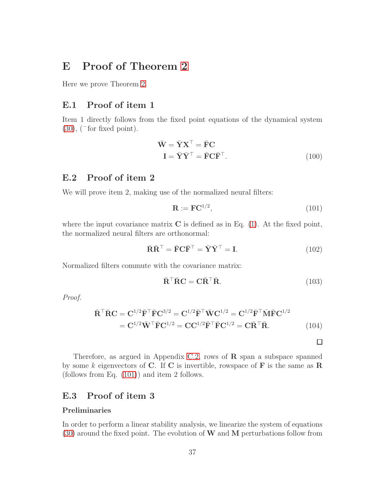## <span id="page-36-0"></span>E Proof of Theorem [2](#page-12-4)

Here we prove Theorem [2.](#page-12-4)

### E.1 Proof of item 1

Item 1 directly follows from the fixed point equations of the dynamical system  $(30)$ ,  $(\text{for fixed point}).$ 

$$
\overline{\mathbf{W}} = \overline{\mathbf{Y}} \mathbf{X}^{\top} = \overline{\mathbf{F}} \mathbf{C}
$$

$$
\mathbf{I} = \overline{\mathbf{Y}} \overline{\mathbf{Y}}^{\top} = \overline{\mathbf{F}} \mathbf{C} \overline{\mathbf{F}}^{\top}.
$$
(100)

## E.2 Proof of item 2

We will prove item 2, making use of the normalized neural filters:

<span id="page-36-2"></span><span id="page-36-1"></span>
$$
\mathbf{R} := \mathbf{F}\mathbf{C}^{1/2},\tag{101}
$$

where the input covariance matrix  $C$  is defined as in Eq. [\(1\)](#page-2-1). At the fixed point, the normalized neural filters are orthonormal:

$$
\bar{\mathbf{R}}\bar{\mathbf{R}}^{\top} = \bar{\mathbf{F}}\mathbf{C}\bar{\mathbf{F}}^{\top} = \bar{\mathbf{Y}}\bar{\mathbf{Y}}^{\top} = \mathbf{I}.
$$
 (102)

Normalized filters commute with the covariance matrix:

$$
\bar{\mathbf{R}}^{\top} \bar{\mathbf{R}} \mathbf{C} = \mathbf{C} \bar{\mathbf{R}}^{\top} \bar{\mathbf{R}}.
$$
 (103)

<span id="page-36-4"></span><span id="page-36-3"></span> $\Box$ 

Proof.

$$
\overline{\mathbf{R}}^{\top} \overline{\mathbf{R}} \mathbf{C} = \mathbf{C}^{1/2} \overline{\mathbf{F}}^{\top} \overline{\mathbf{F}} \mathbf{C}^{3/2} = \mathbf{C}^{1/2} \overline{\mathbf{F}}^{\top} \overline{\mathbf{W}} \mathbf{C}^{1/2} = \mathbf{C}^{1/2} \overline{\mathbf{F}}^{\top} \overline{\mathbf{M}} \overline{\mathbf{F}} \mathbf{C}^{1/2}
$$
\n
$$
= \mathbf{C}^{1/2} \overline{\mathbf{W}}^{\top} \overline{\mathbf{F}} \mathbf{C}^{1/2} = \mathbf{C} \mathbf{C}^{1/2} \overline{\mathbf{F}}^{\top} \overline{\mathbf{F}} \mathbf{C}^{1/2} = \mathbf{C} \overline{\mathbf{R}}^{\top} \overline{\mathbf{R}}.
$$
\n(104)

Therefore, as argued in Appendix [C.2,](#page-26-4) rows of  $\bf{R}$  span a subspace spanned by some k eigenvectors of C. If C is invertible, rowspace of  $\bf{F}$  is the same as  $\bf{R}$ (follows from Eq. [\(101\)](#page-36-1)) and item 2 follows.

## E.3 Proof of item 3

#### Preliminaries

In order to perform a linear stability analysis, we linearize the system of equations [\(30\)](#page-12-3) around the fixed point. The evolution of W and M perturbations follow from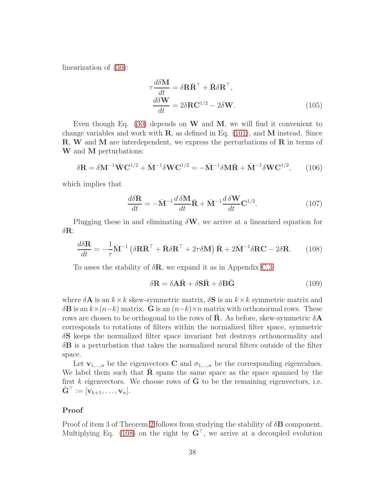linearization of [\(30\)](#page-12-3):

<span id="page-37-2"></span>
$$
\tau \frac{d\delta \mathbf{M}}{dt} = \delta \mathbf{R} \bar{\mathbf{R}}^{\top} + \bar{\mathbf{R}} \delta \mathbf{R}^{\top},
$$
  
\n
$$
\frac{d\delta \mathbf{W}}{dt} = 2\delta \mathbf{R} \mathbf{C}^{1/2} - 2\delta \mathbf{W}.
$$
\n(105)

Even though Eq. [\(30\)](#page-12-3) depends on  $W$  and  $M$ , we will find it convenient to change variables and work with  $\mathbf{R}$ , as defined in Eq. [\(101\)](#page-36-1), and  $\mathbf{M}$  instead. Since R, W and M are interdependent, we express the perturbations of R in terms of W and M perturbations:

$$
\delta \mathbf{R} = \delta \mathbf{M}^{-1} \bar{\mathbf{W}} \mathbf{C}^{1/2} + \bar{\mathbf{M}}^{-1} \delta \mathbf{W} \mathbf{C}^{1/2} = -\bar{\mathbf{M}}^{-1} \delta \mathbf{M} \bar{\mathbf{R}} + \bar{\mathbf{M}}^{-1} \delta \mathbf{W} \mathbf{C}^{1/2}, \qquad (106)
$$

which implies that

$$
\frac{d\delta \mathbf{R}}{dt} = -\bar{\mathbf{M}}^{-1} \frac{d\,\delta \mathbf{M}}{dt} \bar{\mathbf{R}} + \bar{\mathbf{M}}^{-1} \frac{d\,\delta \mathbf{W}}{dt} \mathbf{C}^{1/2}.
$$
\n(107)

Plugging these in and eliminating  $\delta W$ , we arrive at a linearized equation for  $δ$ **R**:

$$
\frac{d\delta \mathbf{R}}{dt} = -\frac{1}{\tau} \bar{\mathbf{M}}^{-1} \left( \delta \mathbf{R} \bar{\mathbf{R}}^{\top} + \bar{\mathbf{R}} \delta \mathbf{R}^{\top} + 2\tau \delta \mathbf{M} \right) \bar{\mathbf{R}} + 2\bar{\mathbf{M}}^{-1} \delta \mathbf{R} \mathbf{C} - 2\delta \mathbf{R}.
$$
 (108)

To asses the stability of  $\delta \mathbf{R}$ , we expand it as in Appendix [C.3:](#page-26-3)

<span id="page-37-1"></span><span id="page-37-0"></span>
$$
\delta \mathbf{R} = \delta \mathbf{A} \bar{\mathbf{R}} + \delta \mathbf{S} \bar{\mathbf{R}} + \delta \mathbf{B} \bar{\mathbf{G}} \tag{109}
$$

where  $\delta {\bf A}$  is an  $k \times k$  skew-symmetric matrix,  $\delta {\bf S}$  is an  $k \times k$  symmetric matrix and  $\delta$ **B** is an  $k \times (n-k)$  matrix. G is an  $(n-k) \times n$  matrix with orthonormal rows. These rows are chosen to be orthogonal to the rows of R. As before, skew-symmetric  $\delta A$ corresponds to rotations of filters within the normalized filter space, symmetric  $\delta S$  keeps the normalized filter space invariant but destroys orthonormality and  $\delta$ **B** is a perturbation that takes the normalized neural filters outside of the filter space.

Let  $\mathbf{v}_{1,...,n}$  be the eigenvectors **C** and  $\sigma_{1,...,n}$  be the corresponding eigenvalues. We label them such that  $\bf{R}$  spans the same space as the space spanned by the first k eigenvectors. We choose rows of  $\bar{G}$  to be the remaining eigenvectors, i.e.  $\bar{\mathbf{G}}^{\top} := [\mathbf{v}_{k+1}, \ldots, \mathbf{v}_n].$ 

#### Proof

Proof of item 3 of Theorem [2](#page-12-4) follows from studying the stability of  $\delta$ **B** component. Multiplying Eq. [\(108\)](#page-37-0) on the right by  $\bar{G}^{\top}$ , we arrive at a decoupled evolution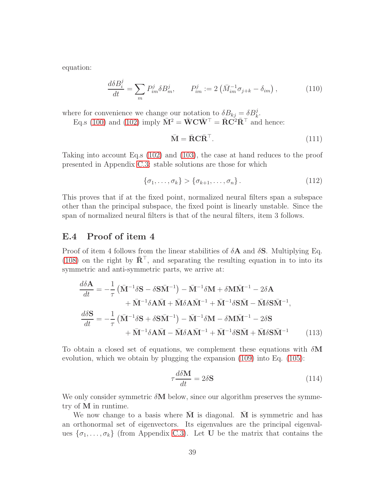equation:

$$
\frac{d\delta B_i^j}{dt} = \sum_m P_{im}^j \delta B_m^j, \qquad P_{im}^j := 2\left(\bar{M}_{im}^{-1}\sigma_{j+k} - \delta_{im}\right),\tag{110}
$$

where for convenience we change our notation to  $\delta B_{kj} = \delta B_k^j$ .

Eq.s [\(100\)](#page-36-2) and [\(102\)](#page-36-3) imply  $\bar{\mathbf{M}}^2 = \bar{\mathbf{W}} \mathbf{C} \bar{\mathbf{W}}^{\top} = \bar{\mathbf{R}} \mathbf{C}^2 \bar{\mathbf{R}}^{\top}$  and hence:

$$
\bar{\mathbf{M}} = \bar{\mathbf{R}} \mathbf{C} \bar{\mathbf{R}}^{\top}.
$$
 (111)

Taking into account Eq.s [\(102\)](#page-36-3) and [\(103\)](#page-36-4), the case at hand reduces to the proof presented in Appendix [C.3:](#page-26-3) stable solutions are those for which

$$
\{\sigma_1, \ldots, \sigma_k\} > \{\sigma_{k+1}, \ldots, \sigma_n\}.
$$
\n(112)

This proves that if at the fixed point, normalized neural filters span a subspace other than the principal subspace, the fixed point is linearly unstable. Since the span of normalized neural filters is that of the neural filters, item 3 follows.

### E.4 Proof of item 4

Proof of item 4 follows from the linear stabilities of  $\delta {\bf A}$  and  $\delta {\bf S}$ . Multiplying Eq. [\(108\)](#page-37-0) on the right by  $\overline{\mathbf{R}}^{\top}$ , and separating the resulting equation in to into its symmetric and anti-symmetric parts, we arrive at:

$$
\frac{d\delta \mathbf{A}}{dt} = -\frac{1}{\tau} \left( \bar{\mathbf{M}}^{-1} \delta \mathbf{S} - \delta \mathbf{S} \bar{\mathbf{M}}^{-1} \right) - \bar{\mathbf{M}}^{-1} \delta \mathbf{M} + \delta \mathbf{M} \bar{\mathbf{M}}^{-1} - 2\delta \mathbf{A} \n+ \bar{\mathbf{M}}^{-1} \delta \mathbf{A} \bar{\mathbf{M}} + \bar{\mathbf{M}} \delta \mathbf{A} \bar{\mathbf{M}}^{-1} + \bar{\mathbf{M}}^{-1} \delta \mathbf{S} \bar{\mathbf{M}} - \bar{\mathbf{M}} \delta \mathbf{S} \bar{\mathbf{M}}^{-1},
$$
\n
$$
\frac{d\delta \mathbf{S}}{dt} = -\frac{1}{\tau} \left( \bar{\mathbf{M}}^{-1} \delta \mathbf{S} + \delta \mathbf{S} \bar{\mathbf{M}}^{-1} \right) - \bar{\mathbf{M}}^{-1} \delta \mathbf{M} - \delta \mathbf{M} \bar{\mathbf{M}}^{-1} - 2\delta \mathbf{S} \n+ \bar{\mathbf{M}}^{-1} \delta \mathbf{A} \bar{\mathbf{M}} - \bar{\mathbf{M}} \delta \mathbf{A} \bar{\mathbf{M}}^{-1} + \bar{\mathbf{M}}^{-1} \delta \mathbf{S} \bar{\mathbf{M}} + \bar{\mathbf{M}} \delta \mathbf{S} \bar{\mathbf{M}}^{-1}
$$
\n(113)

To obtain a closed set of equations, we complement these equations with  $\delta M$ evolution, which we obtain by plugging the expansion [\(109\)](#page-37-1) into Eq. [\(105\)](#page-37-2):

$$
\tau \frac{d\delta \mathbf{M}}{dt} = 2\delta \mathbf{S} \tag{114}
$$

We only consider symmetric  $\delta M$  below, since our algorithm preserves the symmetry of M in runtime.

We now change to a basis where  $M$  is diagonal. M is symmetric and has an orthonormal set of eigenvectors. Its eigenvalues are the principal eigenvalues  $\{\sigma_1, \ldots, \sigma_k\}$  (from Appendix [C.3\)](#page-26-3). Let U be the matrix that contains the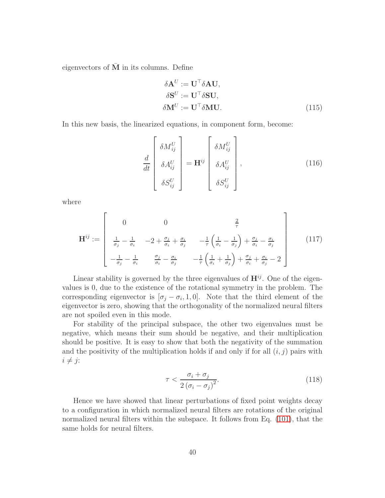eigenvectors of  $\overline{M}$  in its columns. Define

$$
\delta \mathbf{A}^{U} := \mathbf{U}^{\top} \delta \mathbf{A} \mathbf{U}, \n\delta \mathbf{S}^{U} := \mathbf{U}^{\top} \delta \mathbf{S} \mathbf{U}, \n\delta \mathbf{M}^{U} := \mathbf{U}^{\top} \delta \mathbf{M} \mathbf{U}.
$$
\n(115)

In this new basis, the linearized equations, in component form, become:

$$
\frac{d}{dt} \begin{bmatrix} \delta M_{ij}^U \\ \delta A_{ij}^U \\ \delta S_{ij}^U \end{bmatrix} = \mathbf{H}^{ij} \begin{bmatrix} \delta M_{ij}^U \\ \delta A_{ij}^U \\ \delta S_{ij}^U \end{bmatrix},
$$
\n(116)

where

$$
\mathbf{H}^{ij} := \begin{bmatrix} 0 & 0 & \frac{2}{\tau} \\ \frac{1}{\sigma_j} - \frac{1}{\sigma_i} & -2 + \frac{\sigma_j}{\sigma_i} + \frac{\sigma_i}{\sigma_j} & -\frac{1}{\tau} \left( \frac{1}{\sigma_i} - \frac{1}{\sigma_j} \right) + \frac{\sigma_j}{\sigma_i} - \frac{\sigma_i}{\sigma_j} \\ -\frac{1}{\sigma_j} - \frac{1}{\sigma_i} & \frac{\sigma_j}{\sigma_i} - \frac{\sigma_i}{\sigma_j} & -\frac{1}{\tau} \left( \frac{1}{\sigma_i} + \frac{1}{\sigma_j} \right) + \frac{\sigma_j}{\sigma_i} + \frac{\sigma_i}{\sigma_j} - 2 \end{bmatrix}
$$
(117)

Linear stability is governed by the three eigenvalues of  $\mathbf{H}^{ij}$ . One of the eigenvalues is 0, due to the existence of the rotational symmetry in the problem. The corresponding eigenvector is  $[\sigma_j - \sigma_i, 1, 0]$ . Note that the third element of the eigenvector is zero, showing that the orthogonality of the normalized neural filters are not spoiled even in this mode.

For stability of the principal subspace, the other two eigenvalues must be negative, which means their sum should be negative, and their multiplication should be positive. It is easy to show that both the negativity of the summation and the positivity of the multiplication holds if and only if for all  $(i, j)$  pairs with  $i \neq j$ :

$$
\tau < \frac{\sigma_i + \sigma_j}{2\left(\sigma_i - \sigma_j\right)^2}.\tag{118}
$$

Hence we have showed that linear perturbations of fixed point weights decay to a configuration in which normalized neural filters are rotations of the original normalized neural filters within the subspace. It follows from Eq. [\(101\)](#page-36-1), that the same holds for neural filters.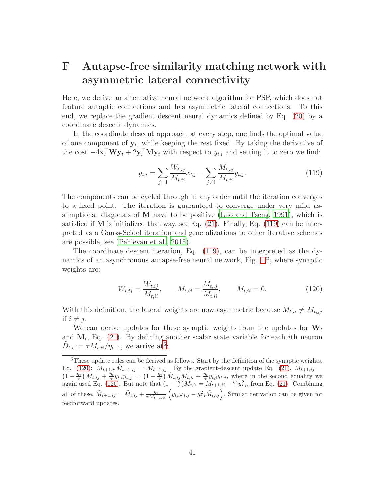# <span id="page-40-0"></span>F Autapse-free similarity matching network with asymmetric lateral connectivity

Here, we derive an alternative neural network algorithm for PSP, which does not feature autaptic connections and has asymmetric lateral connections. To this end, we replace the gradient descent neural dynamics defined by Eq. [\(20\)](#page-8-3) by a coordinate descent dynamics.

In the coordinate descent approach, at every step, one finds the optimal value of one component of  $y_t$ , while keeping the rest fixed. By taking the derivative of the cost  $-4\mathbf{x}_t^{\top} \mathbf{W} \mathbf{y}_t + 2\mathbf{y}_t^{\top} \mathbf{M} \mathbf{y}_t$  with respect to  $y_{t,i}$  and setting it to zero we find:

<span id="page-40-1"></span>
$$
y_{t,i} = \sum_{j=1} \frac{W_{t,ij}}{M_{t,ii}} x_{t,j} - \sum_{j \neq i} \frac{M_{t,ij}}{M_{t,ii}} y_{t,j}.
$$
 (119)

The components can be cycled through in any order until the iteration converges to a fixed point. The iteration is guaranteed to converge under very mild as-sumptions: diagonals of M have to be positive [\(Luo and Tseng, 1991\)](#page-45-11), which is satisfied if  $M$  is initialized that way, see Eq.  $(21)$ . Finally, Eq.  $(119)$  can be interpreted as a Gauss-Seidel iteration and generalizations to other iterative schemes are possible, see [\(Pehlevan et al., 2015\)](#page-45-2).

The coordinate descent iteration, Eq. [\(119\)](#page-40-1), can be interpreted as the dynamics of an asynchronous autapse-free neural network, Fig. [1B](#page-7-1), where synaptic weights are:

<span id="page-40-3"></span>
$$
\tilde{W}_{t,ij} = \frac{W_{t,ij}}{M_{t,ii}}, \qquad \tilde{M}_{t,ij} = \frac{M_{t,j}}{M_{t,ii}}, \qquad \tilde{M}_{t,ii} = 0.
$$
\n(120)

With this definition, the lateral weights are now asymmetric because  $M_{t,ii} \neq M_{t,jj}$ if  $i \neq j$ .

We can derive updates for these synaptic weights from the updates for  $W_t$ and  $M_t$ , Eq. [\(21\)](#page-8-4). By defining another scalar state variable for each *i*th neuron  $\tilde{D}_{t,i} := \tau M_{t,ii}/\eta_{t-1}$ , we arrive at<sup>[6](#page-40-2)</sup>:

<span id="page-40-2"></span> $6$ These update rules can be derived as follows. Start by the definition of the synaptic weights, Eq. [\(120\)](#page-40-3):  $M_{t+1,ii}\tilde{M}_{t+1,ij} = M_{t+1,ij}$ . By the gradient-descent update Eq. [\(21\)](#page-8-4),  $M_{t+1,ij} =$  $\left(1-\frac{\eta_t}{\tau}\right)M_{t,ij}+\frac{\eta_t}{\tau}y_{t,i}y_{t,j}=\left(1-\frac{\eta_t}{\tau}\right)\tilde{M}_{t,ij}M_{t,ii}+\frac{\eta_t}{\tau}y_{t,i}y_{t,j}$ , where in the second equality we again used Eq. [\(120\)](#page-40-3). But note that  $(1 - \frac{\eta_t}{\tau})M_{t,ii} = M_{t+1,ii} - \frac{\eta_t}{\tau}y_{t,i}^2$ , from Eq. [\(21\)](#page-8-4). Combining all of these,  $\tilde{M}_{t+1,ij} = \tilde{M}_{t,ij} + \frac{\eta_t}{\tau M_{t+1,ii}} \left( y_{t,i} x_{t,j} - y_{t,i}^2 \tilde{M}_{t,ij} \right)$ . Similar derivation can be given for feedforward updates.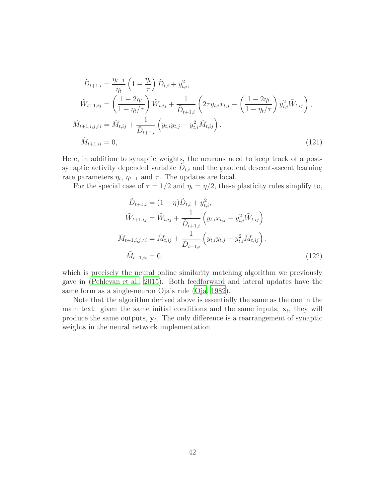$$
\tilde{D}_{t+1,i} = \frac{\eta_{t-1}}{\eta_t} \left( 1 - \frac{\eta_t}{\tau} \right) \tilde{D}_{t,i} + y_{t,i}^2,
$$
\n
$$
\tilde{W}_{t+1,ij} = \left( \frac{1 - 2\eta_t}{1 - \eta_t/\tau} \right) \tilde{W}_{t,ij} + \frac{1}{\tilde{D}_{t+1,i}} \left( 2\tau y_{t,i} x_{t,j} - \left( \frac{1 - 2\eta_t}{1 - \eta_t/\tau} \right) y_{t,i}^2 \tilde{W}_{t,ij} \right),
$$
\n
$$
\tilde{M}_{t+1,i,j \neq i} = \tilde{M}_{t,ij} + \frac{1}{\tilde{D}_{t+1,i}} \left( y_{t,i} y_{t,j} - y_{t,i}^2 \tilde{M}_{t,ij} \right).
$$
\n
$$
\tilde{M}_{t+1,ii} = 0,
$$
\n(121)

Here, in addition to synaptic weights, the neurons need to keep track of a postsynaptic activity depended variable  $\tilde{D}_{t,i}$  and the gradient descent-ascent learning rate parameters  $\eta_t$ ,  $\eta_{t-1}$  and  $\tau$ . The updates are local.

For the special case of  $\tau = 1/2$  and  $\eta_t = \eta/2$ , these plasticity rules simplify to,

$$
\tilde{D}_{t+1,i} = (1 - \eta) \tilde{D}_{t,i} + y_{t,i}^2,
$$
\n
$$
\tilde{W}_{t+1,ij} = \tilde{W}_{t,ij} + \frac{1}{\tilde{D}_{t+1,i}} \left( y_{t,i} x_{t,j} - y_{t,i}^2 \tilde{W}_{t,ij} \right)
$$
\n
$$
\tilde{M}_{t+1,i,j \neq i} = \tilde{M}_{t,ij} + \frac{1}{\tilde{D}_{t+1,i}} \left( y_{t,i} y_{t,j} - y_{t,i}^2 \tilde{M}_{t,ij} \right).
$$
\n
$$
\tilde{M}_{t+1,ii} = 0,
$$
\n(122)

which is precisely the neural online similarity matching algorithm we previously gave in [\(Pehlevan et al.](#page-45-2), [2015\)](#page-45-2). Both feedforward and lateral updates have the same form as a single-neuron Oja's rule [\(Oja, 1982](#page-45-12)).

Note that the algorithm derived above is essentially the same as the one in the main text: given the same initial conditions and the same inputs,  $\mathbf{x}_t$ , they will produce the same outputs,  $y_t$ . The only difference is a rearrangement of synaptic weights in the neural network implementation.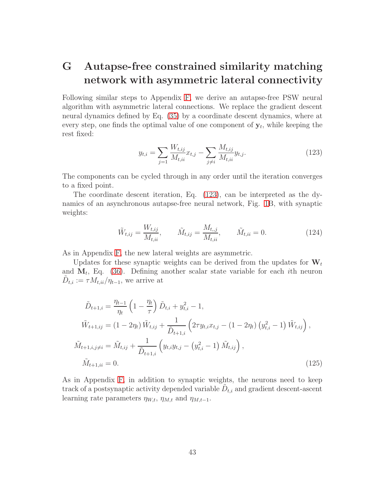# <span id="page-42-0"></span>G Autapse-free constrained similarity matching network with asymmetric lateral connectivity

Following similar steps to Appendix [F,](#page-40-0) we derive an autapse-free PSW neural algorithm with asymmetric lateral connections. We replace the gradient descent neural dynamics defined by Eq. [\(35\)](#page-14-3) by a coordinate descent dynamics, where at every step, one finds the optimal value of one component of  $y_t$ , while keeping the rest fixed:

<span id="page-42-1"></span>
$$
y_{t,i} = \sum_{j=1} \frac{W_{t,ij}}{M_{t,ii}} x_{t,j} - \sum_{j \neq i} \frac{M_{t,ij}}{M_{t,ii}} y_{t,j}.
$$
 (123)

The components can be cycled through in any order until the iteration converges to a fixed point.

The coordinate descent iteration, Eq. [\(123\)](#page-42-1), can be interpreted as the dynamics of an asynchronous autapse-free neural network, Fig. [1B](#page-7-1), with synaptic weights:

$$
\tilde{W}_{t,ij} = \frac{W_{t,ij}}{M_{t,ii}}, \qquad \tilde{M}_{t,ij} = \frac{M_{t,j}}{M_{t,ii}}, \qquad \tilde{M}_{t,ii} = 0.
$$
\n(124)

As in Appendix [F,](#page-40-0) the new lateral weights are asymmetric.

Updates for these synaptic weights can be derived from the updates for  $W_t$ and  $M_t$ , Eq. [\(36\)](#page-14-2). Defining another scalar state variable for each *i*th neuron  $\tilde{D}_{t,i} := \tau M_{t,ii}/\eta_{t-1}$ , we arrive at

$$
\tilde{D}_{t+1,i} = \frac{\eta_{t-1}}{\eta_t} \left( 1 - \frac{\eta_t}{\tau} \right) \tilde{D}_{t,i} + y_{t,i}^2 - 1,
$$
\n
$$
\tilde{W}_{t+1,ij} = (1 - 2\eta_t) \tilde{W}_{t,ij} + \frac{1}{\tilde{D}_{t+1,i}} \left( 2\tau y_{t,i} x_{t,j} - (1 - 2\eta_t) \left( y_{t,i}^2 - 1 \right) \tilde{W}_{t,ij} \right),
$$
\n
$$
\tilde{M}_{t+1,i,j \neq i} = \tilde{M}_{t,ij} + \frac{1}{\tilde{D}_{t+1,i}} \left( y_{t,i} y_{t,j} - \left( y_{t,i}^2 - 1 \right) \tilde{M}_{t,ij} \right),
$$
\n
$$
\tilde{M}_{t+1,ii} = 0.
$$
\n(125)

As in Appendix [F,](#page-40-0) in addition to synaptic weights, the neurons need to keep track of a postsynaptic activity depended variable  $\tilde{D}_{t,i}$  and gradient descent-ascent learning rate parameters  $\eta_{W,t}$ ,  $\eta_{M,t}$  and  $\eta_{M,t-1}$ .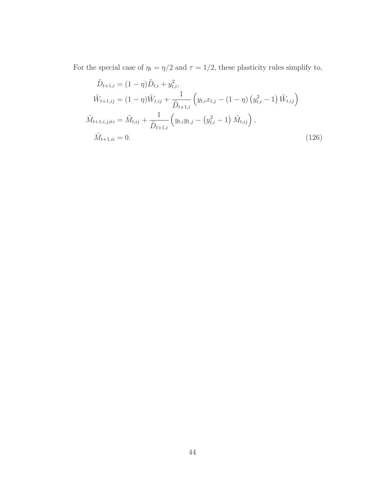For the special case of  $\eta_t = \eta/2$  and  $\tau = 1/2,$  these plasticity rules simplify to,

$$
\tilde{D}_{t+1,i} = (1 - \eta) \tilde{D}_{t,i} + y_{t,i}^2,
$$
\n
$$
\tilde{W}_{t+1,ij} = (1 - \eta) \tilde{W}_{t,ij} + \frac{1}{\tilde{D}_{t+1,i}} \left( y_{t,i} x_{t,j} - (1 - \eta) \left( y_{t,i}^2 - 1 \right) \tilde{W}_{t,ij} \right)
$$
\n
$$
\tilde{M}_{t+1,i,j \neq i} = \tilde{M}_{t,ij} + \frac{1}{\tilde{D}_{t+1,i}} \left( y_{t,i} y_{t,j} - \left( y_{t,i}^2 - 1 \right) \tilde{M}_{t,ij} \right),
$$
\n
$$
\tilde{M}_{t+1,ii} = 0.
$$
\n(126)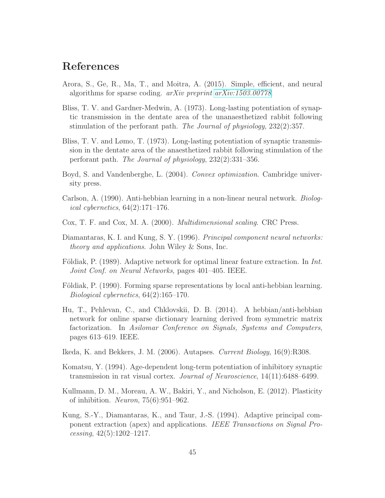## References

- <span id="page-44-6"></span>Arora, S., Ge, R., Ma, T., and Moitra, A. (2015). Simple, efficient, and neural algorithms for sparse coding. arXiv preprint [arXiv:1503.00778](http://arxiv.org/abs/1503.00778).
- <span id="page-44-10"></span>Bliss, T. V. and Gardner-Medwin, A. (1973). Long-lasting potentiation of synaptic transmission in the dentate area of the unanaesthetized rabbit following stimulation of the perforant path. The Journal of physiology, 232(2):357.
- <span id="page-44-9"></span>Bliss, T. V. and Lømo, T. (1973). Long-lasting potentiation of synaptic transmission in the dentate area of the anaesthetized rabbit following stimulation of the perforant path. The Journal of physiology, 232(2):331–356.
- <span id="page-44-13"></span>Boyd, S. and Vandenberghe, L. (2004). Convex optimization. Cambridge university press.
- <span id="page-44-2"></span>Carlson, A. (1990). Anti-hebbian learning in a non-linear neural network. Biological cybernetics,  $64(2):171-176$ .
- <span id="page-44-4"></span>Cox, T. F. and Cox, M. A. (2000). Multidimensional scaling. CRC Press.
- <span id="page-44-5"></span>Diamantaras, K. I. and Kung, S. Y. (1996). Principal component neural networks: theory and applications. John Wiley & Sons, Inc.
- <span id="page-44-1"></span>Földiak, P. (1989). Adaptive network for optimal linear feature extraction. In *Int.* Joint Conf. on Neural Networks, pages 401–405. IEEE.
- <span id="page-44-0"></span>Földiak, P. (1990). Forming sparse representations by local anti-hebbian learning. Biological cybernetics, 64(2):165–170.
- <span id="page-44-3"></span>Hu, T., Pehlevan, C., and Chklovskii, D. B. (2014). A hebbian/anti-hebbian network for online sparse dictionary learning derived from symmetric matrix factorization. In Asilomar Conference on Signals, Systems and Computers, pages 613–619. IEEE.
- <span id="page-44-7"></span>Ikeda, K. and Bekkers, J. M. (2006). Autapses. Current Biology, 16(9):R308.
- <span id="page-44-11"></span>Komatsu, Y. (1994). Age-dependent long-term potentiation of inhibitory synaptic transmission in rat visual cortex. Journal of Neuroscience, 14(11):6488–6499.
- <span id="page-44-12"></span>Kullmann, D. M., Moreau, A. W., Bakiri, Y., and Nicholson, E. (2012). Plasticity of inhibition. Neuron, 75(6):951–962.
- <span id="page-44-8"></span>Kung, S.-Y., Diamantaras, K., and Taur, J.-S. (1994). Adaptive principal component extraction (apex) and applications. IEEE Transactions on Signal Pro $cessing, 42(5):1202-1217.$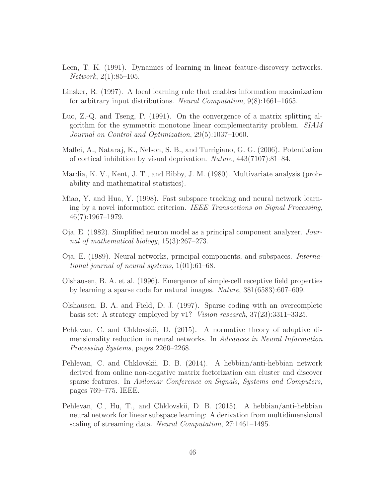- <span id="page-45-0"></span>Leen, T. K. (1991). Dynamics of learning in linear feature-discovery networks. Network, 2(1):85–105.
- <span id="page-45-1"></span>Linsker, R. (1997). A local learning rule that enables information maximization for arbitrary input distributions. Neural Computation, 9(8):1661–1665.
- <span id="page-45-11"></span>Luo, Z.-Q. and Tseng, P. (1991). On the convergence of a matrix splitting algorithm for the symmetric monotone linear complementarity problem. SIAM Journal on Control and Optimization, 29(5):1037–1060.
- <span id="page-45-10"></span>Maffei, A., Nataraj, K., Nelson, S. B., and Turrigiano, G. G. (2006). Potentiation of cortical inhibition by visual deprivation. Nature, 443(7107):81–84.
- <span id="page-45-4"></span>Mardia, K. V., Kent, J. T., and Bibby, J. M. (1980). Multivariate analysis (probability and mathematical statistics).
- <span id="page-45-8"></span>Miao, Y. and Hua, Y. (1998). Fast subspace tracking and neural network learning by a novel information criterion. IEEE Transactions on Signal Processing, 46(7):1967–1979.
- <span id="page-45-12"></span>Oja, E. (1982). Simplified neuron model as a principal component analyzer. Journal of mathematical biology, 15(3):267–273.
- <span id="page-45-9"></span>Oja, E. (1989). Neural networks, principal components, and subspaces. International journal of neural systems, 1(01):61–68.
- <span id="page-45-6"></span>Olshausen, B. A. et al. (1996). Emergence of simple-cell receptive field properties by learning a sparse code for natural images. Nature, 381(6583):607–609.
- <span id="page-45-7"></span>Olshausen, B. A. and Field, D. J. (1997). Sparse coding with an overcomplete basis set: A strategy employed by v1? Vision research, 37(23):3311–3325.
- <span id="page-45-5"></span>Pehlevan, C. and Chklovskii, D. (2015). A normative theory of adaptive dimensionality reduction in neural networks. In Advances in Neural Information Processing Systems, pages 2260–2268.
- <span id="page-45-3"></span>Pehlevan, C. and Chklovskii, D. B. (2014). A hebbian/anti-hebbian network derived from online non-negative matrix factorization can cluster and discover sparse features. In Asilomar Conference on Signals, Systems and Computers, pages 769–775. IEEE.
- <span id="page-45-2"></span>Pehlevan, C., Hu, T., and Chklovskii, D. B. (2015). A hebbian/anti-hebbian neural network for linear subspace learning: A derivation from multidimensional scaling of streaming data. Neural Computation, 27:1461–1495.